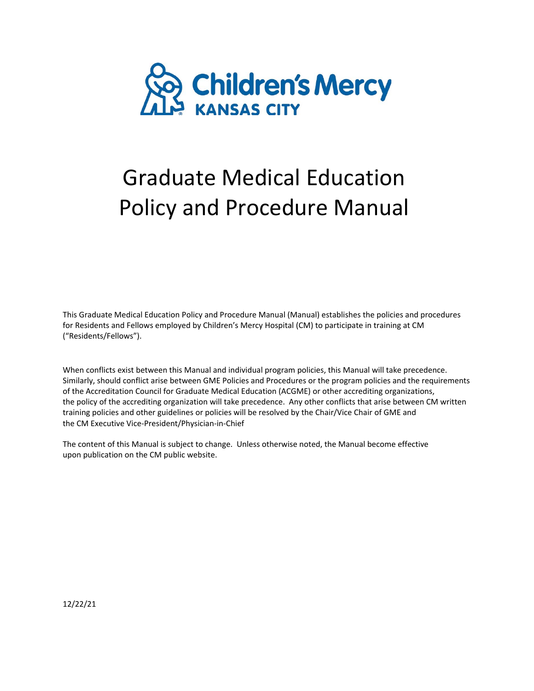

# Graduate Medical Education Policy and Procedure Manual

This Graduate Medical Education Policy and Procedure Manual (Manual) establishes the policies and procedures for Residents and Fellows employed by Children's Mercy Hospital (CM) to participate in training at CM ("Residents/Fellows").

When conflicts exist between this Manual and individual program policies, this Manual will take precedence. Similarly, should conflict arise between GME Policies and Procedures or the program policies and the requirements of the Accreditation Council for Graduate Medical Education (ACGME) or other accrediting organizations, the policy of the accrediting organization will take precedence. Any other conflicts that arise between CM written training policies and other guidelines or policies will be resolved by the Chair/Vice Chair of GME and the CM Executive Vice‐President/Physician‐in‐Chief

The content of this Manual is subject to change. Unless otherwise noted, the Manual become effective upon publication on the CM public website.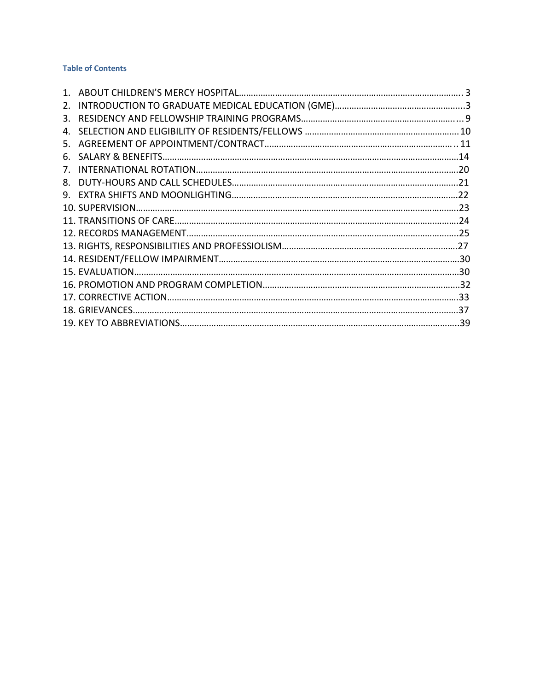#### **Table of Contents**

| 2. |  |
|----|--|
| 3. |  |
|    |  |
| 5. |  |
| 6. |  |
|    |  |
| 8. |  |
| 9. |  |
|    |  |
|    |  |
|    |  |
|    |  |
|    |  |
|    |  |
|    |  |
|    |  |
|    |  |
|    |  |
|    |  |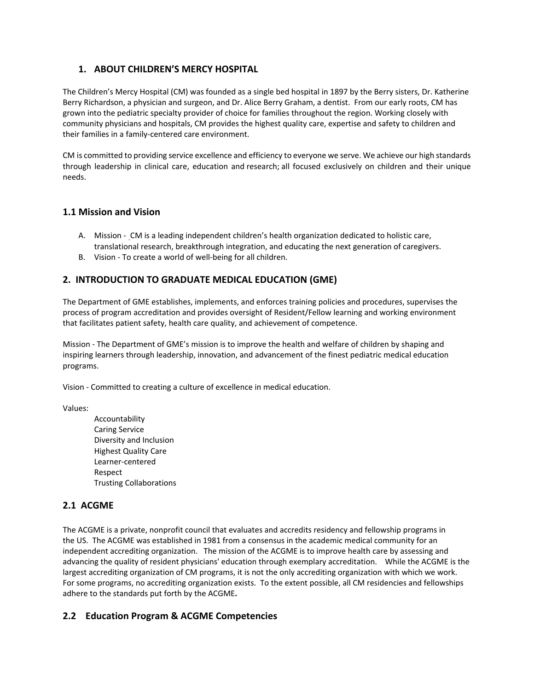# **1. ABOUT CHILDREN'S MERCY HOSPITAL**

The Children's Mercy Hospital (CM) was founded as a single bed hospital in 1897 by the Berry sisters, Dr. Katherine Berry Richardson, a physician and surgeon, and Dr. Alice Berry Graham, a dentist. From our early roots, CM has grown into the pediatric specialty provider of choice for families throughout the region. Working closely with community physicians and hospitals, CM provides the highest quality care, expertise and safety to children and their families in a family‐centered care environment.

CM is committed to providing service excellence and efficiency to everyone we serve. We achieve our high standards through leadership in clinical care, education and research; all focused exclusively on children and their unique needs.

#### **1.1 Mission and Vision**

- A. Mission CM is a leading independent children's health organization dedicated to holistic care, translational research, breakthrough integration, and educating the next generation of caregivers.
- B. Vision ‐ To create a world of well‐being for all children.

#### **2. INTRODUCTION TO GRADUATE MEDICAL EDUCATION (GME)**

The Department of GME establishes, implements, and enforces training policies and procedures, supervises the process of program accreditation and provides oversight of Resident/Fellow learning and working environment that facilitates patient safety, health care quality, and achievement of competence.

Mission ‐ The Department of GME's mission is to improve the health and welfare of children by shaping and inspiring learners through leadership, innovation, and advancement of the finest pediatric medical education programs.

Vision ‐ Committed to creating a culture of excellence in medical education.

Values:

Accountability Caring Service Diversity and Inclusion Highest Quality Care Learner‐centered Respect Trusting Collaborations

#### **2.1 ACGME**

The ACGME is a private, nonprofit council that evaluates and accredits residency and fellowship programs in the US. The ACGME was established in 1981 from a consensus in the academic medical community for an independent accrediting organization. The mission of the ACGME is to improve health care by assessing and advancing the quality of resident physicians' education through exemplary accreditation. While the ACGME is the largest accrediting organization of CM programs, it is not the only accrediting organization with which we work.  For some programs, no accrediting organization exists.  To the extent possible, all CM residencies and fellowships adhere to the standards put forth by the ACGME**.**

## **2.2 Education Program & ACGME Competencies**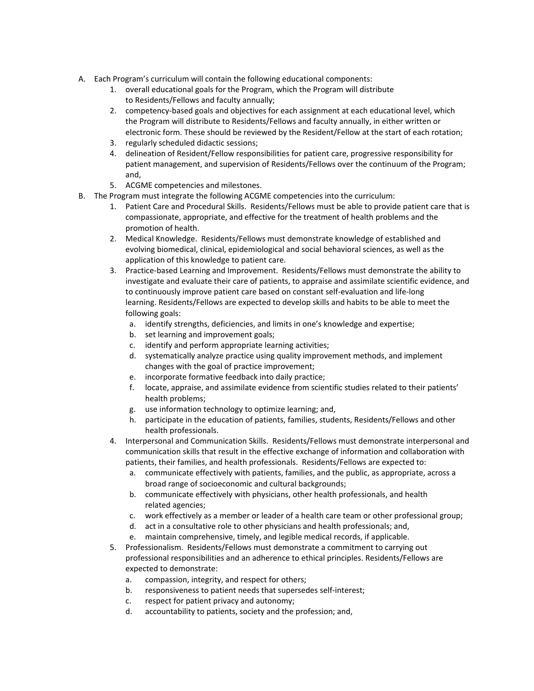- A. Each Program's curriculum will contain the following educational components:
	- 1. overall educational goals for the Program, which the Program will distribute to Residents/Fellows and faculty annually;
	- 2. competency-based goals and objectives for each assignment at each educational level, which the Program will distribute to Residents/Fellows and faculty annually, in either written or electronic form. These should be reviewed by the Resident/Fellow at the start of each rotation;
	- 3. regularly scheduled didactic sessions;
	- 4. delineation of Resident/Fellow responsibilities for patient care, progressive responsibility for patient management, and supervision of Residents/Fellows over the continuum of the Program; and,
	- 5. ACGME competencies and milestones.
- B. The Program must integrate the following ACGME competencies into the curriculum:
	- 1. Patient Care and Procedural Skills. Residents/Fellows must be able to provide patient care that is compassionate, appropriate, and effective for the treatment of health problems and the promotion of health.
	- 2. Medical Knowledge. Residents/Fellows must demonstrate knowledge of established and evolving biomedical, clinical, epidemiological and social behavioral sciences, as well as the application of this knowledge to patient care.
	- 3. Practice-based Learning and Improvement. Residents/Fellows must demonstrate the ability to investigate and evaluate their care of patients, to appraise and assimilate scientific evidence, and to continuously improve patient care based on constant self‐evaluation and life‐long learning. Residents/Fellows are expected to develop skills and habits to be able to meet the following goals:
		- a. identify strengths, deficiencies, and limits in one's knowledge and expertise;
		- b. set learning and improvement goals;
		- c. identify and perform appropriate learning activities;
		- d. systematically analyze practice using quality improvement methods, and implement changes with the goal of practice improvement;
		- e. incorporate formative feedback into daily practice;
		- f. locate, appraise, and assimilate evidence from scientific studies related to their patients' health problems;
		- g. use information technology to optimize learning; and,
		- h. participate in the education of patients, families, students, Residents/Fellows and other health professionals.
	- 4. Interpersonal and Communication Skills. Residents/Fellows must demonstrate interpersonal and communication skills that result in the effective exchange of information and collaboration with patients, their families, and health professionals. Residents/Fellows are expected to:
		- a. communicate effectively with patients, families, and the public, as appropriate, across a broad range of socioeconomic and cultural backgrounds;
		- b. communicate effectively with physicians, other health professionals, and health related agencies;
		- c. work effectively as a member or leader of a health care team or other professional group;
		- d. act in a consultative role to other physicians and health professionals; and,
		- e. maintain comprehensive, timely, and legible medical records, if applicable.
	- 5. Professionalism. Residents/Fellows must demonstrate a commitment to carrying out professional responsibilities and an adherence to ethical principles. Residents/Fellows are expected to demonstrate:
		- a. compassion, integrity, and respect for others;
		- b. responsiveness to patient needs that supersedes self-interest;
		- c. respect for patient privacy and autonomy;
		- d. accountability to patients, society and the profession; and,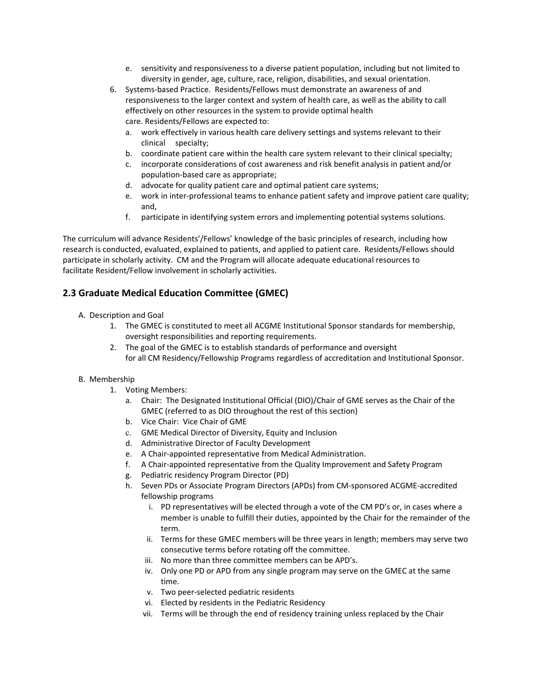- e. sensitivity and responsiveness to a diverse patient population, including but not limited to diversity in gender, age, culture, race, religion, disabilities, and sexual orientation.
- 6. Systems‐based Practice. Residents/Fellows must demonstrate an awareness of and responsiveness to the larger context and system of health care, as well as the ability to call effectively on other resources in the system to provide optimal health care. Residents/Fellows are expected to:
	- a. work effectively in various health care delivery settings and systems relevant to their clinical specialty;
	- b. coordinate patient care within the health care system relevant to their clinical specialty;
	- c. incorporate considerations of cost awareness and risk benefit analysis in patient and/or population‐based care as appropriate;
	- d. advocate for quality patient care and optimal patient care systems;
	- e. work in inter-professional teams to enhance patient safety and improve patient care quality; and,
	- f. participate in identifying system errors and implementing potential systems solutions.

The curriculum will advance Residents'/Fellows' knowledge of the basic principles of research, including how research is conducted, evaluated, explained to patients, and applied to patient care. Residents/Fellows should participate in scholarly activity. CM and the Program will allocate adequate educational resources to facilitate Resident/Fellow involvement in scholarly activities.

# **2.3 Graduate Medical Education Committee (GMEC)**

- A. Description and Goal
	- 1. The GMEC is constituted to meet all ACGME Institutional Sponsor standards for membership, oversight responsibilities and reporting requirements.
	- 2. The goal of the GMEC is to establish standards of performance and oversight for all CM Residency/Fellowship Programs regardless of accreditation and Institutional Sponsor.

#### B. Membership

- 1. Voting Members:
	- a. Chair: The Designated Institutional Official (DIO)/Chair of GME serves as the Chair of the GMEC (referred to as DIO throughout the rest of this section)
	- b. Vice Chair: Vice Chair of GME
	- c. GME Medical Director of Diversity, Equity and Inclusion
	- d. Administrative Director of Faculty Development
	- e. A Chair‐appointed representative from Medical Administration.
	- f. A Chair‐appointed representative from the Quality Improvement and Safety Program
	- g. Pediatric residency Program Director (PD)
	- h. Seven PDs or Associate Program Directors (APDs) from CM‐sponsored ACGME‐accredited fellowship programs
		- i. PD representatives will be elected through a vote of the CM PD's or, in cases where a member is unable to fulfill their duties, appointed by the Chair for the remainder of the term.
		- ii. Terms for these GMEC members will be three years in length; members may serve two consecutive terms before rotating off the committee.
		- iii. No more than three committee members can be APD's.
		- iv. Only one PD or APD from any single program may serve on the GMEC at the same time.
		- v. Two peer‐selected pediatric residents
		- vi. Elected by residents in the Pediatric Residency
		- vii. Terms will be through the end of residency training unless replaced by the Chair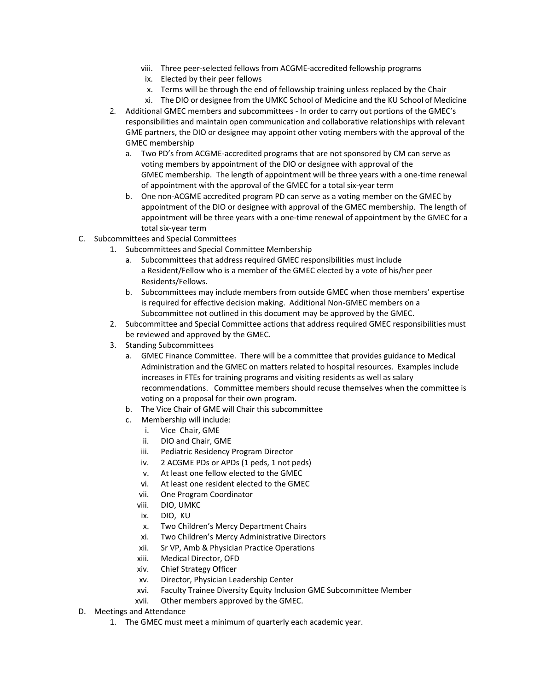- viii. Three peer‐selected fellows from ACGME‐accredited fellowship programs
- ix. Elected by their peer fellows
- x. Terms will be through the end of fellowship training unless replaced by the Chair
- xi. The DIO or designee from the UMKC School of Medicine and the KU School of Medicine 2. Additional GMEC members and subcommittees - In order to carry out portions of the GMEC's responsibilities and maintain open communication and collaborative relationships with relevant
	- GME partners, the DIO or designee may appoint other voting members with the approval of the GMEC membership
		- a. Two PD's from ACGME‐accredited programs that are not sponsored by CM can serve as voting members by appointment of the DIO or designee with approval of the GMEC membership. The length of appointment will be three years with a one‐time renewal of appointment with the approval of the GMEC for a total six‐year term
		- b. One non‐ACGME accredited program PD can serve as a voting member on the GMEC by appointment of the DIO or designee with approval of the GMEC membership. The length of appointment will be three years with a one-time renewal of appointment by the GMEC for a total six‐year term
- C. Subcommittees and Special Committees
	- 1. Subcommittees and Special Committee Membership
		- a. Subcommittees that address required GMEC responsibilities must include a Resident/Fellow who is a member of the GMEC elected by a vote of his/her peer Residents/Fellows.
		- b. Subcommittees may include members from outside GMEC when those members' expertise is required for effective decision making. Additional Non‐GMEC members on a Subcommittee not outlined in this document may be approved by the GMEC.
	- 2. Subcommittee and Special Committee actions that address required GMEC responsibilities must be reviewed and approved by the GMEC.
	- 3. Standing Subcommittees
		- a. GMEC Finance Committee. There will be a committee that provides guidance to Medical Administration and the GMEC on matters related to hospital resources. Examples include increases in FTEs for training programs and visiting residents as well as salary recommendations. Committee members should recuse themselves when the committee is voting on a proposal for their own program.
		- b. The Vice Chair of GME will Chair this subcommittee
		- c. Membership will include:
			- i. Vice Chair, GME
			- ii. DIO and Chair, GME
			- iii. Pediatric Residency Program Director
			- iv. 2 ACGME PDs or APDs (1 peds, 1 not peds)
			- v. At least one fellow elected to the GMEC
			- vi. At least one resident elected to the GMEC
			- vii. One Program Coordinator
			- viii. DIO, UMKC
			- ix. DIO, KU
			- x. Two Children's Mercy Department Chairs
			- xi. Two Children's Mercy Administrative Directors
			- xii. Sr VP, Amb & Physician Practice Operations
			- xiii. Medical Director, OFD
			- xiv. Chief Strategy Officer
			- xv. Director, Physician Leadership Center
			- xvi. Faculty Trainee Diversity Equity Inclusion GME Subcommittee Member
			- xvii. Other members approved by the GMEC.
- D. Meetings and Attendance
	- 1. The GMEC must meet a minimum of quarterly each academic year.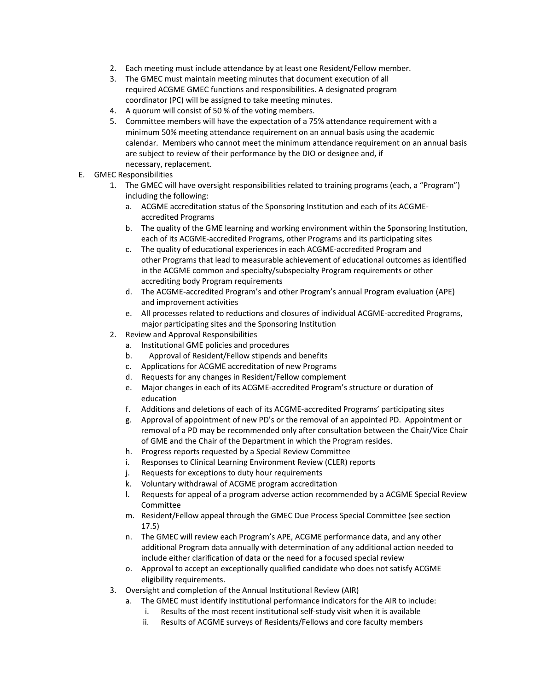- 2. Each meeting must include attendance by at least one Resident/Fellow member.
- 3. The GMEC must maintain meeting minutes that document execution of all required ACGME GMEC functions and responsibilities. A designated program coordinator (PC) will be assigned to take meeting minutes.
- 4. A quorum will consist of 50 % of the voting members.
- 5. Committee members will have the expectation of a 75% attendance requirement with a minimum 50% meeting attendance requirement on an annual basis using the academic calendar. Members who cannot meet the minimum attendance requirement on an annual basis are subject to review of their performance by the DIO or designee and, if necessary, replacement.
- E. GMEC Responsibilities
	- 1. The GMEC will have oversight responsibilities related to training programs (each, a "Program") including the following:
		- a. ACGME accreditation status of the Sponsoring Institution and each of its ACGME‐ accredited Programs
		- b. The quality of the GME learning and working environment within the Sponsoring Institution, each of its ACGME‐accredited Programs, other Programs and its participating sites
		- c. The quality of educational experiences in each ACGME‐accredited Program and other Programs that lead to measurable achievement of educational outcomes as identified in the ACGME common and specialty/subspecialty Program requirements or other accrediting body Program requirements
		- d. The ACGME‐accredited Program's and other Program's annual Program evaluation (APE) and improvement activities
		- e. All processes related to reductions and closures of individual ACGME‐accredited Programs, major participating sites and the Sponsoring Institution
	- 2. Review and Approval Responsibilities
		- a. Institutional GME policies and procedures
		- b. Approval of Resident/Fellow stipends and benefits
		- c. Applications for ACGME accreditation of new Programs
		- d. Requests for any changes in Resident/Fellow complement
		- e. Major changes in each of its ACGME‐accredited Program's structure or duration of education
		- f. Additions and deletions of each of its ACGME‐accredited Programs' participating sites
		- g. Approval of appointment of new PD's or the removal of an appointed PD. Appointment or removal of a PD may be recommended only after consultation between the Chair/Vice Chair of GME and the Chair of the Department in which the Program resides.
		- h. Progress reports requested by a Special Review Committee
		- i. Responses to Clinical Learning Environment Review (CLER) reports
		- j. Requests for exceptions to duty hour requirements
		- k. Voluntary withdrawal of ACGME program accreditation
		- l. Requests for appeal of a program adverse action recommended by a ACGME Special Review Committee
		- m. Resident/Fellow appeal through the GMEC Due Process Special Committee (see section 17.5)
		- n. The GMEC will review each Program's APE, ACGME performance data, and any other additional Program data annually with determination of any additional action needed to include either clarification of data or the need for a focused special review
		- o. Approval to accept an exceptionally qualified candidate who does not satisfy ACGME eligibility requirements.
	- 3. Oversight and completion of the Annual Institutional Review (AIR)
		- a. The GMEC must identify institutional performance indicators for the AIR to include:
			- i. Results of the most recent institutional self‐study visit when it is available
			- ii. Results of ACGME surveys of Residents/Fellows and core faculty members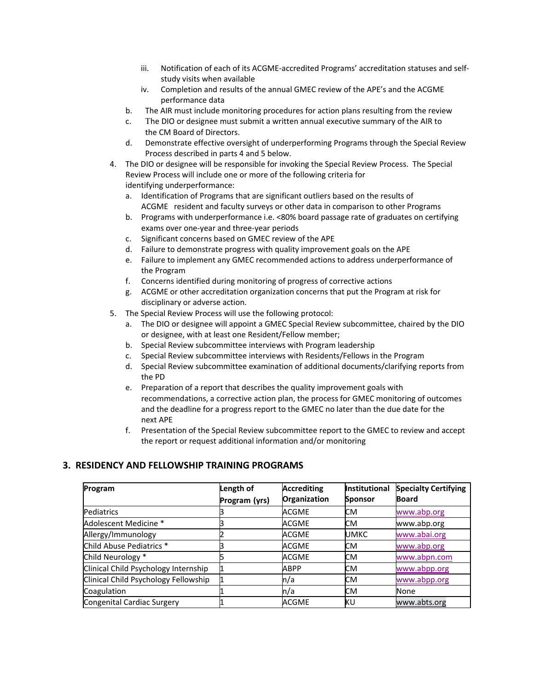- iii. Notification of each of its ACGME‐accredited Programs' accreditation statuses and self‐ study visits when available
- iv. Completion and results of the annual GMEC review of the APE's and the ACGME performance data
- b. The AIR must include monitoring procedures for action plans resulting from the review
- c. The DIO or designee must submit a written annual executive summary of the AIR to the CM Board of Directors.
- d. Demonstrate effective oversight of underperforming Programs through the Special Review Process described in parts 4 and 5 below.
- 4. The DIO or designee will be responsible for invoking the Special Review Process. The Special Review Process will include one or more of the following criteria for identifying underperformance:
	- a. Identification of Programs that are significant outliers based on the results of ACGME resident and faculty surveys or other data in comparison to other Programs
	- b. Programs with underperformance i.e. <80% board passage rate of graduates on certifying exams over one‐year and three‐year periods
	- c. Significant concerns based on GMEC review of the APE
	- d. Failure to demonstrate progress with quality improvement goals on the APE
	- e. Failure to implement any GMEC recommended actions to address underperformance of the Program
	- f. Concerns identified during monitoring of progress of corrective actions
	- g. ACGME or other accreditation organization concerns that put the Program at risk for disciplinary or adverse action.
- 5. The Special Review Process will use the following protocol:
	- a. The DIO or designee will appoint a GMEC Special Review subcommittee, chaired by the DIO or designee, with at least one Resident/Fellow member;
	- b. Special Review subcommittee interviews with Program leadership
	- c. Special Review subcommittee interviews with Residents/Fellows in the Program
	- d. Special Review subcommittee examination of additional documents/clarifying reports from the PD
	- e. Preparation of a report that describes the quality improvement goals with recommendations, a corrective action plan, the process for GMEC monitoring of outcomes and the deadline for a progress report to the GMEC no later than the due date for the next APE
	- f. Presentation of the Special Review subcommittee report to the GMEC to review and accept the report or request additional information and/or monitoring

#### **3. RESIDENCY AND FELLOWSHIP TRAINING PROGRAMS**

| Program                              | Length of     | <b>Accrediting</b> | <b>Institutional</b> | <b>Specialty Certifying</b> |
|--------------------------------------|---------------|--------------------|----------------------|-----------------------------|
|                                      | Program (yrs) | Organization       | <b>Sponsor</b>       | <b>Board</b>                |
| Pediatrics                           |               | ACGME              | СM                   | www.abp.org                 |
| Adolescent Medicine *                |               | ACGME              | СM                   | www.abp.org                 |
| Allergy/Immunology                   |               | <b>ACGME</b>       | UMKC                 | www.abai.org                |
| Child Abuse Pediatrics *             |               | ACGME              | СM                   | www.abp.org                 |
| Child Neurology *                    |               | ACGME              | СM                   | www.abpn.com                |
| Clinical Child Psychology Internship |               | <b>ABPP</b>        | СM                   | www.abpp.org                |
| Clinical Child Psychology Fellowship |               | n/a                | СM                   | www.abpp.org                |
| Coagulation                          |               | n/a                | СM                   | None                        |
| Congenital Cardiac Surgery           |               | ACGME              | ΚU                   | www.abts.org                |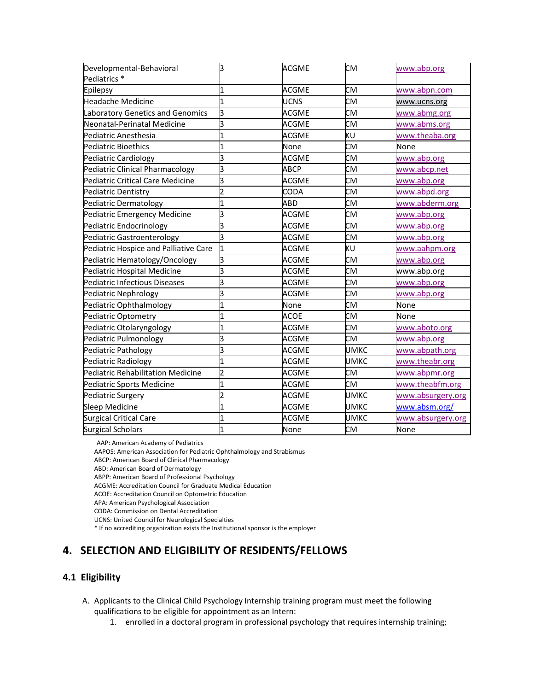| Developmental-Behavioral                 | З                       | <b>ACGME</b> | <b>CM</b>   | www.abp.org       |
|------------------------------------------|-------------------------|--------------|-------------|-------------------|
| Pediatrics *                             |                         |              |             |                   |
| Epilepsy                                 | 1                       | <b>ACGME</b> | <b>CM</b>   | www.abpn.com      |
| <b>Headache Medicine</b>                 | 1                       | <b>UCNS</b>  | <b>CM</b>   | www.ucns.org      |
| Laboratory Genetics and Genomics         | З                       | <b>ACGME</b> | <b>CM</b>   | www.abmg.org      |
| Neonatal-Perinatal Medicine              | З                       | ACGME        | CM          | www.abms.org      |
| Pediatric Anesthesia                     | $\overline{1}$          | <b>ACGME</b> | KU          | www.theaba.org    |
| <b>Pediatric Bioethics</b>               | 1                       | None         | <b>CM</b>   | None              |
| Pediatric Cardiology                     | з                       | <b>ACGME</b> | CМ          | www.abp.org       |
| Pediatric Clinical Pharmacology          | З                       | <b>ABCP</b>  | <b>CM</b>   | www.abcp.net      |
| Pediatric Critical Care Medicine         | 3                       | <b>ACGME</b> | CМ          | www.abp.org       |
| Pediatric Dentistry                      | $\overline{2}$          | CODA         | <b>CM</b>   | www.abpd.org      |
| Pediatric Dermatology                    | 1                       | ABD          | <b>CM</b>   | www.abderm.org    |
| Pediatric Emergency Medicine             | з                       | <b>ACGME</b> | CM          | www.abp.org       |
| Pediatric Endocrinology                  | 3                       | <b>ACGME</b> | <b>CM</b>   | www.abp.org       |
| Pediatric Gastroenterology               | 3                       | <b>ACGME</b> | <b>CM</b>   | www.abp.org       |
| Pediatric Hospice and Palliative Care    | 1                       | <b>ACGME</b> | KU          | www.aahpm.org     |
| Pediatric Hematology/Oncology            | З                       | <b>ACGME</b> | CM          | www.abp.org       |
| Pediatric Hospital Medicine              | З                       | <b>ACGME</b> | CM          | www.abp.org       |
| Pediatric Infectious Diseases            | З                       | <b>ACGME</b> | <b>CM</b>   | www.abp.org       |
| Pediatric Nephrology                     | З                       | <b>ACGME</b> | CМ          | www.abp.org       |
| Pediatric Ophthalmology                  | 1                       | None         | CМ          | None              |
| Pediatric Optometry                      | $\overline{\mathbf{1}}$ | ACOE         | <b>CM</b>   | None              |
| Pediatric Otolaryngology                 | 1                       | ACGME        | <b>CM</b>   | www.aboto.org     |
| Pediatric Pulmonology                    | з                       | ACGME        | СM          | www.abp.org       |
| Pediatric Pathology                      | 3                       | <b>ACGME</b> | <b>UMKC</b> | www.abpath.org    |
| Pediatric Radiology                      | $\mathbf{1}$            | <b>ACGME</b> | <b>UMKC</b> | www.theabr.org    |
| <b>Pediatric Rehabilitation Medicine</b> | 2                       | <b>ACGME</b> | CМ          | www.abpmr.org     |
| Pediatric Sports Medicine                | 1                       | <b>ACGME</b> | CM          | www.theabfm.org   |
| Pediatric Surgery                        | 2                       | <b>ACGME</b> | UMKC        | www.absurgery.org |
| Sleep Medicine                           | 1                       | <b>ACGME</b> | <b>UMKC</b> | www.absm.org/     |
| Surgical Critical Care                   | 1                       | ACGME        | UMKC        | www.absurgery.org |
| <b>Surgical Scholars</b>                 | $\mathbf{1}$            | None         | <b>CM</b>   | None              |

AAP: American Academy of Pediatrics

AAPOS: American Association for Pediatric Ophthalmology and Strabismus

ABCP: American Board of Clinical Pharmacology

ABD: American Board of Dermatology

ABPP: American Board of Professional Psychology

ACGME: Accreditation Council for Graduate Medical Education

ACOE: Accreditation Council on Optometric Education

APA: American Psychological Association

CODA: Commission on Dental Accreditation

UCNS: United Council for Neurological Specialties

\* If no accrediting organization exists the Institutional sponsor is the employer

# **4. SELECTION AND ELIGIBILITY OF RESIDENTS/FELLOWS**

## **4.1 Eligibility**

- A. Applicants to the Clinical Child Psychology Internship training program must meet the following qualifications to be eligible for appointment as an Intern:
	- 1. enrolled in a doctoral program in professional psychology that requires internship training;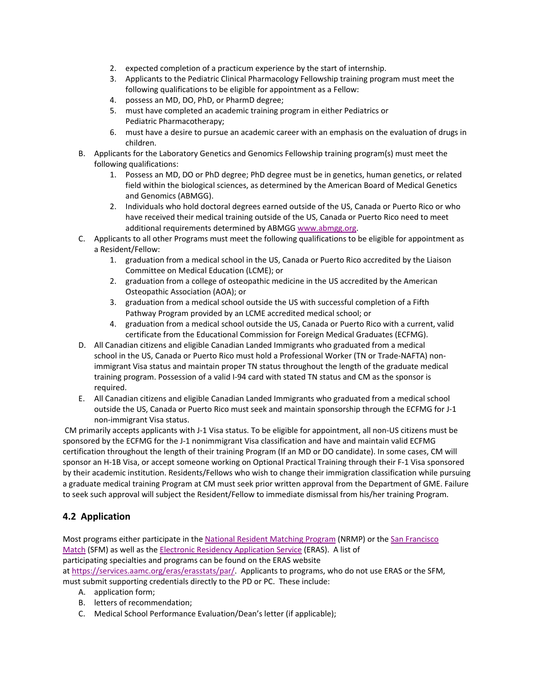- 2. expected completion of a practicum experience by the start of internship.
- 3. Applicants to the Pediatric Clinical Pharmacology Fellowship training program must meet the following qualifications to be eligible for appointment as a Fellow:
- 4. possess an MD, DO, PhD, or PharmD degree;
- 5. must have completed an academic training program in either Pediatrics or Pediatric Pharmacotherapy;
- 6. must have a desire to pursue an academic career with an emphasis on the evaluation of drugs in children.
- B. Applicants for the Laboratory Genetics and Genomics Fellowship training program(s) must meet the following qualifications:
	- 1. Possess an MD, DO or PhD degree; PhD degree must be in genetics, human genetics, or related field within the biological sciences, as determined by the American Board of Medical Genetics and Genomics (ABMGG).
	- 2. Individuals who hold doctoral degrees earned outside of the US, Canada or Puerto Rico or who have received their medical training outside of the US, Canada or Puerto Rico need to meet additional requirements determined by ABMGG www.abmgg.org.
- C. Applicants to all other Programs must meet the following qualifications to be eligible for appointment as a Resident/Fellow:
	- 1. graduation from a medical school in the US, Canada or Puerto Rico accredited by the Liaison Committee on Medical Education (LCME); or
	- 2. graduation from a college of osteopathic medicine in the US accredited by the American Osteopathic Association (AOA); or
	- 3. graduation from a medical school outside the US with successful completion of a Fifth Pathway Program provided by an LCME accredited medical school; or
	- 4. graduation from a medical school outside the US, Canada or Puerto Rico with a current, valid certificate from the Educational Commission for Foreign Medical Graduates (ECFMG).
- D. All Canadian citizens and eligible Canadian Landed Immigrants who graduated from a medical school in the US, Canada or Puerto Rico must hold a Professional Worker (TN or Trade-NAFTA) nonimmigrant Visa status and maintain proper TN status throughout the length of the graduate medical training program. Possession of a valid I‐94 card with stated TN status and CM as the sponsor is required.
- E. All Canadian citizens and eligible Canadian Landed Immigrants who graduated from a medical school outside the US, Canada or Puerto Rico must seek and maintain sponsorship through the ECFMG for J‐1 non‐immigrant Visa status.

 CM primarily accepts applicants with J‐1 Visa status. To be eligible for appointment, all non‐US citizens must be sponsored by the ECFMG for the J-1 nonimmigrant Visa classification and have and maintain valid ECFMG certification throughout the length of their training Program (If an MD or DO candidate). In some cases, CM will sponsor an H-1B Visa, or accept someone working on Optional Practical Training through their F-1 Visa sponsored by their academic institution. Residents/Fellows who wish to change their immigration classification while pursuing a graduate medical training Program at CM must seek prior written approval from the Department of GME. Failure to seek such approval will subject the Resident/Fellow to immediate dismissal from his/her training Program.

# **4.2 Application**

Most programs either participate in the National Resident Matching Program (NRMP) or the San Francisco Match (SFM) as well as the Electronic Residency Application Service (ERAS). A list of participating specialties and programs can be found on the ERAS website at https://services.aamc.org/eras/erasstats/par/. Applicants to programs, who do not use ERAS or the SFM, must submit supporting credentials directly to the PD or PC. These include:

- A. application form;
- B. letters of recommendation;
- C. Medical School Performance Evaluation/Dean's letter (if applicable);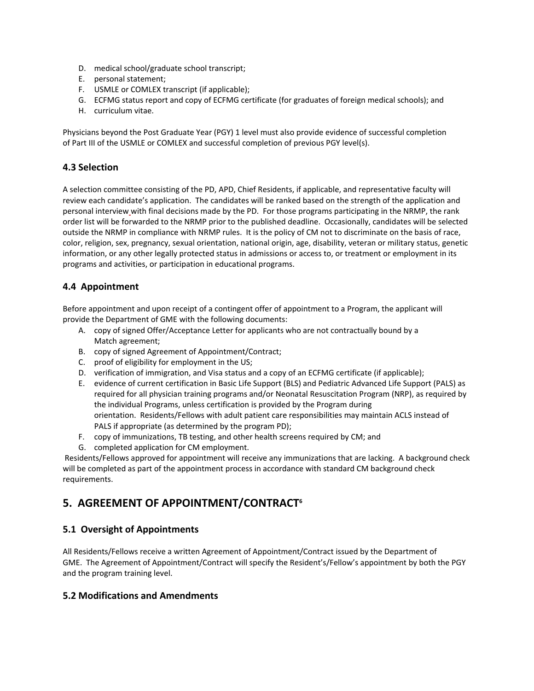- D. medical school/graduate school transcript;
- E. personal statement;
- F. USMLE or COMLEX transcript (if applicable);
- G. ECFMG status report and copy of ECFMG certificate (for graduates of foreign medical schools); and
- H. curriculum vitae.

Physicians beyond the Post Graduate Year (PGY) 1 level must also provide evidence of successful completion of Part III of the USMLE or COMLEX and successful completion of previous PGY level(s).

## **4.3 Selection**

A selection committee consisting of the PD, APD, Chief Residents, if applicable, and representative faculty will review each candidate's application. The candidates will be ranked based on the strength of the application and personal interview with final decisions made by the PD. For those programs participating in the NRMP, the rank order list will be forwarded to the NRMP prior to the published deadline. Occasionally, candidates will be selected outside the NRMP in compliance with NRMP rules. It is the policy of CM not to discriminate on the basis of race, color, religion, sex, pregnancy, sexual orientation, national origin, age, disability, veteran or military status, genetic information, or any other legally protected status in admissions or access to, or treatment or employment in its programs and activities, or participation in educational programs.

## **4.4 Appointment**

Before appointment and upon receipt of a contingent offer of appointment to a Program, the applicant will provide the Department of GME with the following documents:

- A. copy of signed Offer/Acceptance Letter for applicants who are not contractually bound by a Match agreement;
- B. copy of signed Agreement of Appointment/Contract;
- C. proof of eligibility for employment in the US;
- D. verification of immigration, and Visa status and a copy of an ECFMG certificate (if applicable);
- E. evidence of current certification in Basic Life Support (BLS) and Pediatric Advanced Life Support (PALS) as required for all physician training programs and/or Neonatal Resuscitation Program (NRP), as required by the individual Programs, unless certification is provided by the Program during orientation. Residents/Fellows with adult patient care responsibilities may maintain ACLS instead of PALS if appropriate (as determined by the program PD);
- F. copy of immunizations, TB testing, and other health screens required by CM; and
- G. completed application for CM employment.

 Residents/Fellows approved for appointment will receive any immunizations that are lacking. A background check will be completed as part of the appointment process in accordance with standard CM background check requirements.

# **5. AGREEMENT OF APPOINTMENT/CONTRACT6**

## **5.1 Oversight of Appointments**

All Residents/Fellows receive a written Agreement of Appointment/Contract issued by the Department of GME. The Agreement of Appointment/Contract will specify the Resident's/Fellow's appointment by both the PGY and the program training level.

## **5.2 Modifications and Amendments**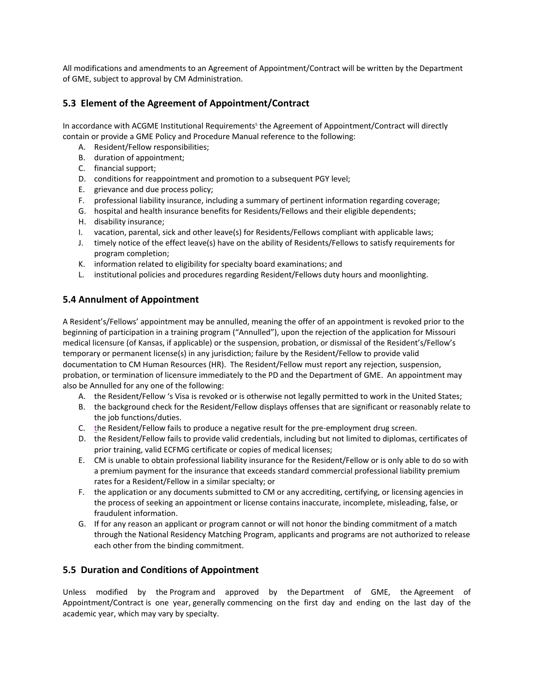All modifications and amendments to an Agreement of Appointment/Contract will be written by the Department of GME, subject to approval by CM Administration.

# **5.3 Element of the Agreement of Appointment/Contract**

In accordance with ACGME Institutional Requirements<sup>5</sup> the Agreement of Appointment/Contract will directly contain or provide a GME Policy and Procedure Manual reference to the following:

- A. Resident/Fellow responsibilities;
- B. duration of appointment;
- C. financial support;
- D. conditions for reappointment and promotion to a subsequent PGY level;
- E. grievance and due process policy;
- F. professional liability insurance, including a summary of pertinent information regarding coverage;
- G. hospital and health insurance benefits for Residents/Fellows and their eligible dependents;
- H. disability insurance;
- I. vacation, parental, sick and other leave(s) for Residents/Fellows compliant with applicable laws;
- J. timely notice of the effect leave(s) have on the ability of Residents/Fellows to satisfy requirements for program completion;
- K. information related to eligibility for specialty board examinations; and
- L. institutional policies and procedures regarding Resident/Fellows duty hours and moonlighting.

## **5.4 Annulment of Appointment**

A Resident's/Fellows' appointment may be annulled, meaning the offer of an appointment is revoked prior to the beginning of participation in a training program ("Annulled"), upon the rejection of the application for Missouri medical licensure (of Kansas, if applicable) or the suspension, probation, or dismissal of the Resident's/Fellow's temporary or permanent license(s) in any jurisdiction; failure by the Resident/Fellow to provide valid documentation to CM Human Resources (HR). The Resident/Fellow must report any rejection, suspension, probation, or termination of licensure immediately to the PD and the Department of GME. An appointment may also be Annulled for any one of the following:

- A. the Resident/Fellow 's Visa is revoked or is otherwise not legally permitted to work in the United States;
- B. the background check for the Resident/Fellow displays offenses that are significant or reasonably relate to the job functions/duties.
- C. the Resident/Fellow fails to produce a negative result for the pre‐employment drug screen.
- D. the Resident/Fellow fails to provide valid credentials, including but not limited to diplomas, certificates of prior training, valid ECFMG certificate or copies of medical licenses;
- E. CM is unable to obtain professional liability insurance for the Resident/Fellow or is only able to do so with a premium payment for the insurance that exceeds standard commercial professional liability premium rates for a Resident/Fellow in a similar specialty; or
- F. the application or any documents submitted to CM or any accrediting, certifying, or licensing agencies in the process of seeking an appointment or license contains inaccurate, incomplete, misleading, false, or fraudulent information.
- G. If for any reason an applicant or program cannot or will not honor the binding commitment of a match through the National Residency Matching Program, applicants and programs are not authorized to release each other from the binding commitment.

#### **5.5 Duration and Conditions of Appointment**

Unless modified by the Program and approved by the Department of GME, the Agreement of Appointment/Contract is one year, generally commencing on the first day and ending on the last day of the academic year, which may vary by specialty.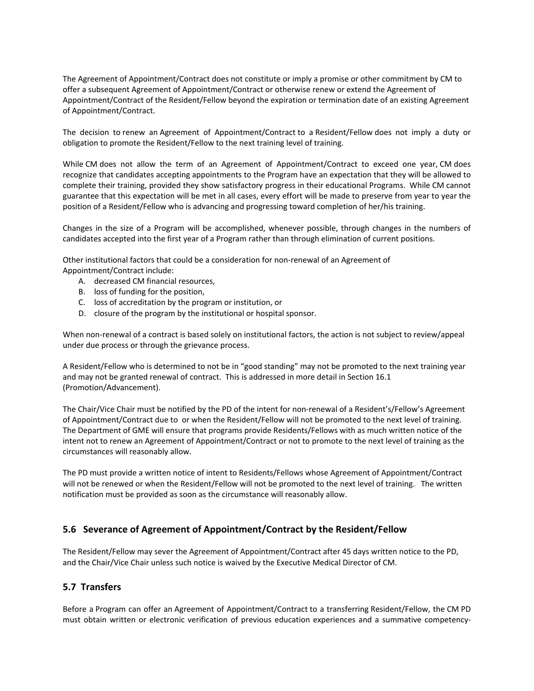The Agreement of Appointment/Contract does not constitute or imply a promise or other commitment by CM to offer a subsequent Agreement of Appointment/Contract or otherwise renew or extend the Agreement of Appointment/Contract of the Resident/Fellow beyond the expiration or termination date of an existing Agreement of Appointment/Contract.

The decision to renew an Agreement of Appointment/Contract to a Resident/Fellow does not imply a duty or obligation to promote the Resident/Fellow to the next training level of training.

While CM does not allow the term of an Agreement of Appointment/Contract to exceed one year, CM does recognize that candidates accepting appointments to the Program have an expectation that they will be allowed to complete their training, provided they show satisfactory progress in their educational Programs. While CM cannot guarantee that this expectation will be met in all cases, every effort will be made to preserve from year to year the position of a Resident/Fellow who is advancing and progressing toward completion of her/his training.

Changes in the size of a Program will be accomplished, whenever possible, through changes in the numbers of candidates accepted into the first year of a Program rather than through elimination of current positions.

Other institutional factors that could be a consideration for non‐renewal of an Agreement of Appointment/Contract include:

- A. decreased CM financial resources,
- B. loss of funding for the position,
- C. loss of accreditation by the program or institution, or
- D. closure of the program by the institutional or hospital sponsor.

When non-renewal of a contract is based solely on institutional factors, the action is not subject to review/appeal under due process or through the grievance process.

A Resident/Fellow who is determined to not be in "good standing" may not be promoted to the next training year and may not be granted renewal of contract. This is addressed in more detail in Section 16.1 (Promotion/Advancement).

The Chair/Vice Chair must be notified by the PD of the intent for non‐renewal of a Resident's/Fellow's Agreement of Appointment/Contract due to or when the Resident/Fellow will not be promoted to the next level of training. The Department of GME will ensure that programs provide Residents/Fellows with as much written notice of the intent not to renew an Agreement of Appointment/Contract or not to promote to the next level of training as the circumstances will reasonably allow.

The PD must provide a written notice of intent to Residents/Fellows whose Agreement of Appointment/Contract will not be renewed or when the Resident/Fellow will not be promoted to the next level of training. The written notification must be provided as soon as the circumstance will reasonably allow.

#### **5.6 Severance of Agreement of Appointment/Contract by the Resident/Fellow**

The Resident/Fellow may sever the Agreement of Appointment/Contract after 45 days written notice to the PD, and the Chair/Vice Chair unless such notice is waived by the Executive Medical Director of CM.

#### **5.7 Transfers**

Before a Program can offer an Agreement of Appointment/Contract to a transferring Resident/Fellow, the CM PD must obtain written or electronic verification of previous education experiences and a summative competency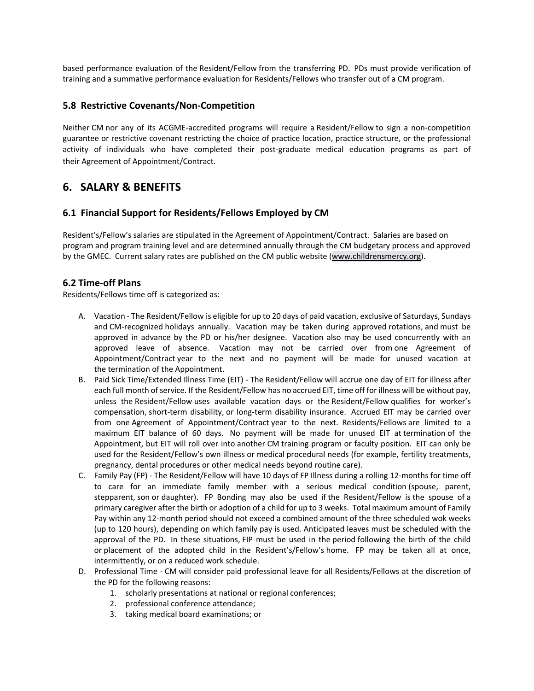based performance evaluation of the Resident/Fellow from the transferring PD. PDs must provide verification of training and a summative performance evaluation for Residents/Fellows who transfer out of a CM program.

#### **5.8 Restrictive Covenants/Non‐Competition**

Neither CM nor any of its ACGME‐accredited programs will require a Resident/Fellow to sign a non‐competition guarantee or restrictive covenant restricting the choice of practice location, practice structure, or the professional activity of individuals who have completed their post‐graduate medical education programs as part of their Agreement of Appointment/Contract.

# **6. SALARY & BENEFITS**

#### **6.1 Financial Support for Residents/Fellows Employed by CM**

Resident's/Fellow's salaries are stipulated in the Agreement of Appointment/Contract. Salaries are based on program and program training level and are determined annually through the CM budgetary process and approved by the GMEC. Current salary rates are published on the CM public website (www.childrensmercy.org).

#### **6.2 Time‐off Plans**

Residents/Fellows time off is categorized as:

- A. Vacation ‐ The Resident/Fellow is eligible for up to 20 days of paid vacation, exclusive of Saturdays, Sundays and CM-recognized holidays annually. Vacation may be taken during approved rotations, and must be approved in advance by the PD or his/her designee. Vacation also may be used concurrently with an approved leave of absence. Vacation may not be carried over from one Agreement of Appointment/Contract year to the next and no payment will be made for unused vacation at the termination of the Appointment.
- B. Paid Sick Time/Extended Illness Time (EIT) ‐ The Resident/Fellow will accrue one day of EIT for illness after each full month of service. If the Resident/Fellow has no accrued EIT, time off for illness will be without pay, unless the Resident/Fellow uses available vacation days or the Resident/Fellow qualifies for worker's compensation, short-term disability, or long-term disability insurance. Accrued EIT may be carried over from one Agreement of Appointment/Contract year to the next. Residents/Fellows are limited to a maximum EIT balance of 60 days. No payment will be made for unused EIT at termination of the Appointment, but EIT will roll over into another CM training program or faculty position. EIT can only be used for the Resident/Fellow's own illness or medical procedural needs (for example, fertility treatments, pregnancy, dental procedures or other medical needs beyond routine care).
- C. Family Pay (FP) ‐ The Resident/Fellow will have 10 days of FP Illness during a rolling 12‐months for time off to care for an immediate family member with a serious medical condition (spouse, parent, stepparent, son or daughter). FP Bonding may also be used if the Resident/Fellow is the spouse of a primary caregiver after the birth or adoption of a child for up to 3 weeks. Total maximum amount of Family Pay within any 12-month period should not exceed a combined amount of the three scheduled wok weeks (up to 120 hours), depending on which family pay is used. Anticipated leaves must be scheduled with the approval of the PD. In these situations, FIP must be used in the period following the birth of the child or placement of the adopted child in the Resident's/Fellow's home. FP may be taken all at once, intermittently, or on a reduced work schedule.
- D. Professional Time ‐ CM will consider paid professional leave for all Residents/Fellows at the discretion of the PD for the following reasons:
	- 1. scholarly presentations at national or regional conferences;
	- 2. professional conference attendance;
	- 3. taking medical board examinations; or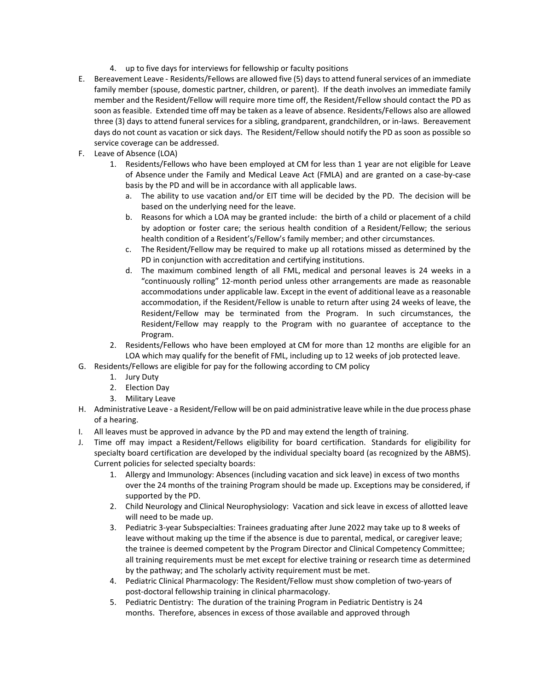- 4. up to five days for interviews for fellowship or faculty positions
- E. Bereavement Leave ‐ Residents/Fellows are allowed five (5) days to attend funeral services of an immediate family member (spouse, domestic partner, children, or parent). If the death involves an immediate family member and the Resident/Fellow will require more time off, the Resident/Fellow should contact the PD as soon as feasible. Extended time off may be taken as a leave of absence. Residents/Fellows also are allowed three (3) days to attend funeral services for a sibling, grandparent, grandchildren, or in‐laws. Bereavement days do not count as vacation or sick days. The Resident/Fellow should notify the PD as soon as possible so service coverage can be addressed.
- F. Leave of Absence (LOA)
	- 1. Residents/Fellows who have been employed at CM for less than 1 year are not eligible for Leave of Absence under the Family and Medical Leave Act (FMLA) and are granted on a case‐by‐case basis by the PD and will be in accordance with all applicable laws.
		- a. The ability to use vacation and/or EIT time will be decided by the PD. The decision will be based on the underlying need for the leave.
		- b. Reasons for which a LOA may be granted include: the birth of a child or placement of a child by adoption or foster care; the serious health condition of a Resident/Fellow; the serious health condition of a Resident's/Fellow's family member; and other circumstances.
		- c. The Resident/Fellow may be required to make up all rotations missed as determined by the PD in conjunction with accreditation and certifying institutions.
		- d. The maximum combined length of all FML, medical and personal leaves is 24 weeks in a "continuously rolling" 12‐month period unless other arrangements are made as reasonable accommodations under applicable law. Except in the event of additional leave as a reasonable accommodation, if the Resident/Fellow is unable to return after using 24 weeks of leave, the Resident/Fellow may be terminated from the Program. In such circumstances, the Resident/Fellow may reapply to the Program with no guarantee of acceptance to the Program.
	- 2. Residents/Fellows who have been employed at CM for more than 12 months are eligible for an LOA which may qualify for the benefit of FML, including up to 12 weeks of job protected leave.
- G. Residents/Fellows are eligible for pay for the following according to CM policy
	- 1. Jury Duty
	- 2. Election Day
	- 3. Military Leave
- H. Administrative Leave ‐ a Resident/Fellow will be on paid administrative leave while in the due process phase of a hearing.
- I. All leaves must be approved in advance by the PD and may extend the length of training.
- J. Time off may impact a Resident/Fellows eligibility for board certification.  Standards for eligibility for specialty board certification are developed by the individual specialty board (as recognized by the ABMS). Current policies for selected specialty boards:
	- 1. Allergy and Immunology: Absences (including vacation and sick leave) in excess of two months over the 24 months of the training Program should be made up. Exceptions may be considered, if supported by the PD.
	- 2. Child Neurology and Clinical Neurophysiology:  Vacation and sick leave in excess of allotted leave will need to be made up.
	- 3. Pediatric 3‐year Subspecialties: Trainees graduating after June 2022 may take up to 8 weeks of leave without making up the time if the absence is due to parental, medical, or caregiver leave; the trainee is deemed competent by the Program Director and Clinical Competency Committee; all training requirements must be met except for elective training or research time as determined by the pathway; and The scholarly activity requirement must be met.
	- 4. Pediatric Clinical Pharmacology: The Resident/Fellow must show completion of two-years of post‐doctoral fellowship training in clinical pharmacology.
	- 5. Pediatric Dentistry:  The duration of the training Program in Pediatric Dentistry is 24 months. Therefore, absences in excess of those available and approved through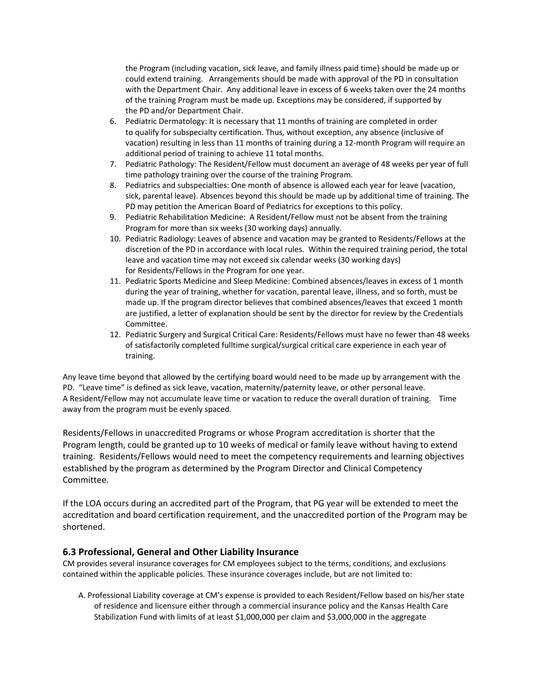the Program (including vacation, sick leave, and family illness paid time) should be made up or could extend training.   Arrangements should be made with approval of the PD in consultation with the Department Chair.  Any additional leave in excess of 6 weeks taken over the 24 months of the training Program must be made up. Exceptions may be considered, if supported by the PD and/or Department Chair.

- 6. Pediatric Dermatology: It is necessary that 11 months of training are completed in order to qualify for subspecialty certification. Thus, without exception, any absence (inclusive of vacation) resulting in less than 11 months of training during a 12‐month Program will require an additional period of training to achieve 11 total months.
- 7. Pediatric Pathology: The Resident/Fellow must document an average of 48 weeks per year of full time pathology training over the course of the training Program.
- 8. Pediatrics and subspecialties: One month of absence is allowed each year for leave (vacation, sick, parental leave). Absences beyond this should be made up by additional time of training. The PD may petition the American Board of Pediatrics for exceptions to this policy.
- 9. Pediatric Rehabilitation Medicine:  A Resident/Fellow must not be absent from the training Program for more than six weeks (30 working days) annually.
- 10. Pediatric Radiology: Leaves of absence and vacation may be granted to Residents/Fellows at the discretion of the PD in accordance with local rules.  Within the required training period, the total leave and vacation time may not exceed six calendar weeks (30 working days) for Residents/Fellows in the Program for one year.
- 11. Pediatric Sports Medicine and Sleep Medicine: Combined absences/leaves in excess of 1 month during the year of training, whether for vacation, parental leave, illness, and so forth, must be made up. If the program director believes that combined absences/leaves that exceed 1 month are justified, a letter of explanation should be sent by the director for review by the Credentials Committee.
- 12. Pediatric Surgery and Surgical Critical Care: Residents/Fellows must have no fewer than 48 weeks of satisfactorily completed fulltime surgical/surgical critical care experience in each year of training.

Any leave time beyond that allowed by the certifying board would need to be made up by arrangement with the PD.  "Leave time" is defined as sick leave, vacation, maternity/paternity leave, or other personal leave.  A Resident/Fellow may not accumulate leave time or vacation to reduce the overall duration of training. Time away from the program must be evenly spaced.

Residents/Fellows in unaccredited Programs or whose Program accreditation is shorter that the Program length, could be granted up to 10 weeks of medical or family leave without having to extend training. Residents/Fellows would need to meet the competency requirements and learning objectives established by the program as determined by the Program Director and Clinical Competency Committee.

If the LOA occurs during an accredited part of the Program, that PG year will be extended to meet the accreditation and board certification requirement, and the unaccredited portion of the Program may be shortened.

## **6.3 Professional, General and Other Liability Insurance**

CM provides several insurance coverages for CM employees subject to the terms, conditions, and exclusions contained within the applicable policies. These insurance coverages include, but are not limited to:

A. Professional Liability coverage at CM's expense is provided to each Resident/Fellow based on his/her state of residence and licensure either through a commercial insurance policy and the Kansas Health Care Stabilization Fund with limits of at least \$1,000,000 per claim and \$3,000,000 in the aggregate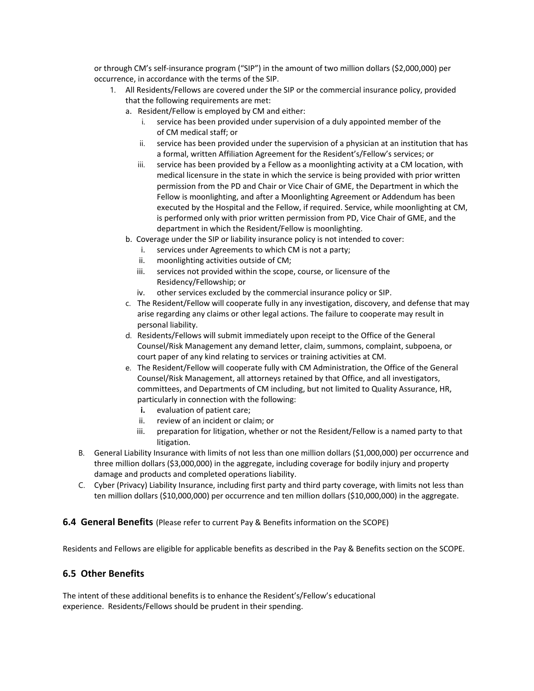or through CM's self‐insurance program ("SIP") in the amount of two million dollars (\$2,000,000) per occurrence, in accordance with the terms of the SIP.

- 1. All Residents/Fellows are covered under the SIP or the commercial insurance policy, provided that the following requirements are met:
	- a. Resident/Fellow is employed by CM and either:
		- i. service has been provided under supervision of a duly appointed member of the of CM medical staff; or
		- ii. service has been provided under the supervision of a physician at an institution that has a formal, written Affiliation Agreement for the Resident's/Fellow's services; or
		- iii. service has been provided by a Fellow as a moonlighting activity at a CM location, with medical licensure in the state in which the service is being provided with prior written permission from the PD and Chair or Vice Chair of GME, the Department in which the Fellow is moonlighting, and after a Moonlighting Agreement or Addendum has been executed by the Hospital and the Fellow, if required. Service, while moonlighting at CM, is performed only with prior written permission from PD, Vice Chair of GME, and the department in which the Resident/Fellow is moonlighting.
	- b. Coverage under the SIP or liability insurance policy is not intended to cover:
		- i. services under Agreements to which CM is not a party;
		- ii. moonlighting activities outside of CM;
		- iii. services not provided within the scope, course, or licensure of the Residency/Fellowship; or
		- iv. other services excluded by the commercial insurance policy or SIP.
	- c. The Resident/Fellow will cooperate fully in any investigation, discovery, and defense that may arise regarding any claims or other legal actions. The failure to cooperate may result in personal liability.
	- d. Residents/Fellows will submit immediately upon receipt to the Office of the General Counsel/Risk Management any demand letter, claim, summons, complaint, subpoena, or court paper of any kind relating to services or training activities at CM.
	- e. The Resident/Fellow will cooperate fully with CM Administration, the Office of the General Counsel/Risk Management, all attorneys retained by that Office, and all investigators, committees, and Departments of CM including, but not limited to Quality Assurance, HR, particularly in connection with the following:
		- **i.** evaluation of patient care;
		- ii. review of an incident or claim; or
		- iii. preparation for litigation, whether or not the Resident/Fellow is a named party to that litigation.
- B. General Liability Insurance with limits of not less than one million dollars (\$1,000,000) per occurrence and three million dollars (\$3,000,000) in the aggregate, including coverage for bodily injury and property damage and products and completed operations liability.
- C. Cyber (Privacy) Liability Insurance, including first party and third party coverage, with limits not less than ten million dollars (\$10,000,000) per occurrence and ten million dollars (\$10,000,000) in the aggregate.

**6.4 General Benefits** (Please refer to current Pay & Benefits information on the SCOPE)

Residents and Fellows are eligible for applicable benefits as described in the Pay & Benefits section on the SCOPE.

## **6.5 Other Benefits**

The intent of these additional benefits is to enhance the Resident's/Fellow's educational experience. Residents/Fellows should be prudent in their spending.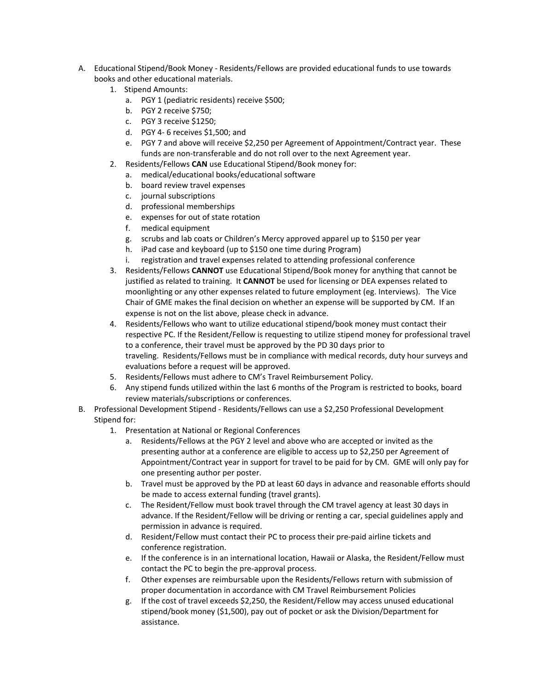- A. Educational Stipend/Book Money ‐ Residents/Fellows are provided educational funds to use towards books and other educational materials.
	- 1. Stipend Amounts:
		- a. PGY 1 (pediatric residents) receive \$500;
		- b. PGY 2 receive \$750;
		- c. PGY 3 receive \$1250;
		- d. PGY 4‐ 6 receives \$1,500; and
		- e. PGY 7 and above will receive \$2,250 per Agreement of Appointment/Contract year.  These funds are non-transferable and do not roll over to the next Agreement year.
	- 2. Residents/Fellows **CAN** use Educational Stipend/Book money for:
		- a. medical/educational books/educational software
		- b. board review travel expenses
		- c. journal subscriptions
		- d. professional memberships
		- e. expenses for out of state rotation
		- f. medical equipment
		- g. scrubs and lab coats or Children's Mercy approved apparel up to \$150 per year
		- h. iPad case and keyboard (up to \$150 one time during Program)
		- i. registration and travel expenses related to attending professional conference
	- 3. Residents/Fellows **CANNOT** use Educational Stipend/Book money for anything that cannot be justified as related to training.  It **CANNOT** be used for licensing or DEA expenses related to moonlighting or any other expenses related to future employment (eg. Interviews). The Vice Chair of GME makes the final decision on whether an expense will be supported by CM.  If an expense is not on the list above, please check in advance.
	- 4. Residents/Fellows who want to utilize educational stipend/book money must contact their respective PC. If the Resident/Fellow is requesting to utilize stipend money for professional travel to a conference, their travel must be approved by the PD 30 days prior to traveling.  Residents/Fellows must be in compliance with medical records, duty hour surveys and evaluations before a request will be approved.
	- 5. Residents/Fellows must adhere to CM's Travel Reimbursement Policy.
	- 6. Any stipend funds utilized within the last 6 months of the Program is restricted to books, board review materials/subscriptions or conferences.
- B. Professional Development Stipend ‐ Residents/Fellows can use a \$2,250 Professional Development Stipend for:
	- 1. Presentation at National or Regional Conferences
		- a. Residents/Fellows at the PGY 2 level and above who are accepted or invited as the presenting author at a conference are eligible to access up to \$2,250 per Agreement of Appointment/Contract year in support for travel to be paid for by CM. GME will only pay for one presenting author per poster.
		- b. Travel must be approved by the PD at least 60 days in advance and reasonable efforts should be made to access external funding (travel grants).
		- c. The Resident/Fellow must book travel through the CM travel agency at least 30 days in advance. If the Resident/Fellow will be driving or renting a car, special guidelines apply and permission in advance is required.
		- d. Resident/Fellow must contact their PC to process their pre‐paid airline tickets and conference registration.
		- e. If the conference is in an international location, Hawaii or Alaska, the Resident/Fellow must contact the PC to begin the pre‐approval process.
		- f. Other expenses are reimbursable upon the Residents/Fellows return with submission of proper documentation in accordance with CM Travel Reimbursement Policies
		- g. If the cost of travel exceeds \$2,250, the Resident/Fellow may access unused educational stipend/book money (\$1,500), pay out of pocket or ask the Division/Department for assistance.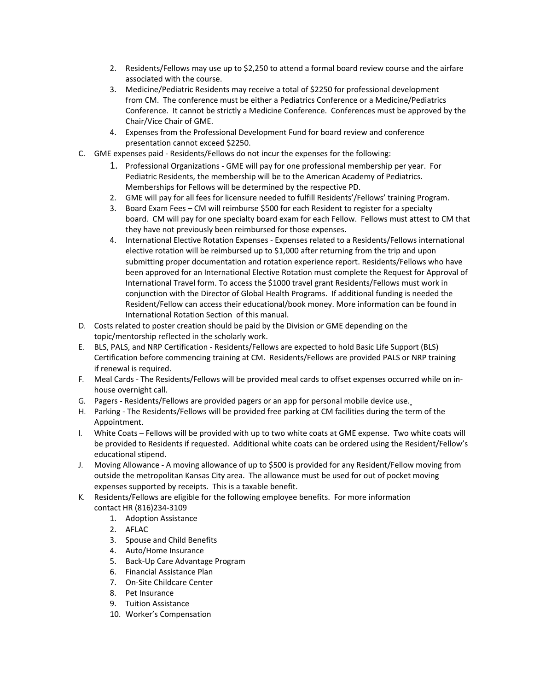- 2. Residents/Fellows may use up to \$2,250 to attend a formal board review course and the airfare associated with the course.
- 3. Medicine/Pediatric Residents may receive a total of \$2250 for professional development from CM. The conference must be either a Pediatrics Conference or a Medicine/Pediatrics Conference. It cannot be strictly a Medicine Conference. Conferences must be approved by the Chair/Vice Chair of GME.
- 4. Expenses from the Professional Development Fund for board review and conference presentation cannot exceed \$2250.
- C. GME expenses paid ‐ Residents/Fellows do not incur the expenses for the following:
	- 1. Professional Organizations ‐ GME will pay for one professional membership per year.  For Pediatric Residents, the membership will be to the American Academy of Pediatrics.  Memberships for Fellows will be determined by the respective PD.
	- 2. GME will pay for all fees for licensure needed to fulfill Residents'/Fellows' training Program.
	- 3. Board Exam Fees CM will reimburse \$500 for each Resident to register for a specialty board. CM will pay for one specialty board exam for each Fellow.  Fellows must attest to CM that they have not previously been reimbursed for those expenses.
	- 4. International Elective Rotation Expenses Expenses related to a Residents/Fellows international elective rotation will be reimbursed up to \$1,000 after returning from the trip and upon submitting proper documentation and rotation experience report. Residents/Fellows who have been approved for an International Elective Rotation must complete the Request for Approval of International Travel form. To access the \$1000 travel grant Residents/Fellows must work in conjunction with the Director of Global Health Programs. If additional funding is needed the Resident/Fellow can access their educational/book money. More information can be found in International Rotation Section of this manual.
- D. Costs related to poster creation should be paid by the Division or GME depending on the topic/mentorship reflected in the scholarly work.
- E. BLS, PALS, and NRP Certification ‐ Residents/Fellows are expected to hold Basic Life Support (BLS) Certification before commencing training at CM. Residents/Fellows are provided PALS or NRP training if renewal is required.
- F. Meal Cards ‐ The Residents/Fellows will be provided meal cards to offset expenses occurred while on in‐ house overnight call.
- G. Pagers ‐ Residents/Fellows are provided pagers or an app for personal mobile device use.
- H. Parking ‐ The Residents/Fellows will be provided free parking at CM facilities during the term of the Appointment.
- I. White Coats Fellows will be provided with up to two white coats at GME expense. Two white coats will be provided to Residents if requested. Additional white coats can be ordered using the Resident/Fellow's educational stipend.
- J. Moving Allowance ‐ A moving allowance of up to \$500 is provided for any Resident/Fellow moving from outside the metropolitan Kansas City area. The allowance must be used for out of pocket moving expenses supported by receipts. This is a taxable benefit.
- K. Residents/Fellows are eligible for the following employee benefits. For more information contact HR (816)234‐3109
	- 1. Adoption Assistance
	- 2. AFLAC
	- 3. Spouse and Child Benefits
	- 4. Auto/Home Insurance
	- 5. Back‐Up Care Advantage Program
	- 6. Financial Assistance Plan
	- 7. On‐Site Childcare Center
	- 8. Pet Insurance
	- 9. Tuition Assistance
	- 10. Worker's Compensation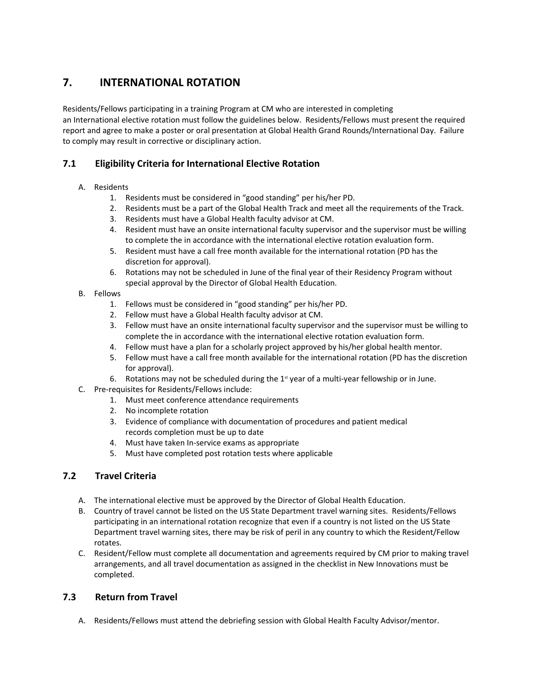# **7.          INTERNATIONAL ROTATION**

Residents/Fellows participating in a training Program at CM who are interested in completing an International elective rotation must follow the guidelines below.  Residents/Fellows must present the required report and agree to make a poster or oral presentation at Global Health Grand Rounds/International Day. Failure to comply may result in corrective or disciplinary action.

# **7.1        Eligibility Criteria for International Elective Rotation**

#### A. Residents

- 1. Residents must be considered in "good standing" per his/her PD.
- 2. Residents must be a part of the Global Health Track and meet all the requirements of the Track.
- 3. Residents must have a Global Health faculty advisor at CM.
- 4. Resident must have an onsite international faculty supervisor and the supervisor must be willing to complete the in accordance with the international elective rotation evaluation form.
- 5. Resident must have a call free month available for the international rotation (PD has the discretion for approval).
- 6. Rotations may not be scheduled in June of the final year of their Residency Program without special approval by the Director of Global Health Education.
- B. Fellows
	- 1. Fellows must be considered in "good standing" per his/her PD.
	- 2. Fellow must have a Global Health faculty advisor at CM.
	- 3. Fellow must have an onsite international faculty supervisor and the supervisor must be willing to complete the in accordance with the international elective rotation evaluation form.
	- 4. Fellow must have a plan for a scholarly project approved by his/her global health mentor.
	- 5. Fellow must have a call free month available for the international rotation (PD has the discretion for approval).
	- 6. Rotations may not be scheduled during the  $1^{\text{st}}$  year of a multi-year fellowship or in June.
- C. Pre‐requisites for Residents/Fellows include:
	- 1. Must meet conference attendance requirements
		- 2. No incomplete rotation
		- 3. Evidence of compliance with documentation of procedures and patient medical records completion must be up to date
		- 4. Must have taken In‐service exams as appropriate
		- 5. Must have completed post rotation tests where applicable

# **7.2        Travel Criteria**

- A. The international elective must be approved by the Director of Global Health Education.
- B. Country of travel cannot be listed on the US State Department travel warning sites. Residents/Fellows participating in an international rotation recognize that even if a country is not listed on the US State Department travel warning sites, there may be risk of peril in any country to which the Resident/Fellow rotates.
- C. Resident/Fellow must complete all documentation and agreements required by CM prior to making travel arrangements, and all travel documentation as assigned in the checklist in New Innovations must be completed.

# **7.3        Return from Travel**

A. Residents/Fellows must attend the debriefing session with Global Health Faculty Advisor/mentor.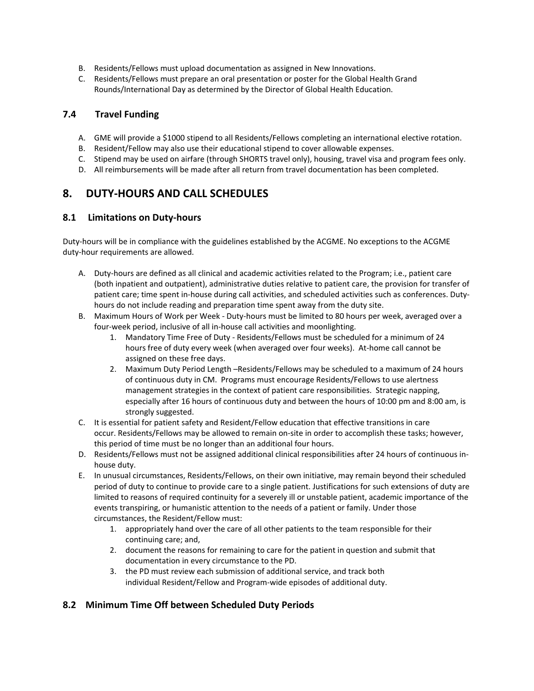- B. Residents/Fellows must upload documentation as assigned in New Innovations.
- C. Residents/Fellows must prepare an oral presentation or poster for the Global Health Grand Rounds/International Day as determined by the Director of Global Health Education.

#### **7.4        Travel Funding**

- A. GME will provide a \$1000 stipend to all Residents/Fellows completing an international elective rotation.
- B. Resident/Fellow may also use their educational stipend to cover allowable expenses.
- C. Stipend may be used on airfare (through SHORTS travel only), housing, travel visa and program fees only.
- D. All reimbursements will be made after all return from travel documentation has been completed.

# **8. DUTY‐HOURS AND CALL SCHEDULES**

#### **8.1 Limitations on Duty‐hours**

Duty-hours will be in compliance with the guidelines established by the ACGME. No exceptions to the ACGME duty‐hour requirements are allowed.

- A. Duty‐hours are defined as all clinical and academic activities related to the Program; i.e., patient care (both inpatient and outpatient), administrative duties relative to patient care, the provision for transfer of patient care; time spent in-house during call activities, and scheduled activities such as conferences. Dutyhours do not include reading and preparation time spent away from the duty site.
- B. Maximum Hours of Work per Week ‐ Duty‐hours must be limited to 80 hours per week, averaged over a four‐week period, inclusive of all in‐house call activities and moonlighting.
	- 1. Mandatory Time Free of Duty ‐ Residents/Fellows must be scheduled for a minimum of 24 hours free of duty every week (when averaged over four weeks). At‐home call cannot be assigned on these free days.
	- 2. Maximum Duty Period Length –Residents/Fellows may be scheduled to a maximum of 24 hours of continuous duty in CM. Programs must encourage Residents/Fellows to use alertness management strategies in the context of patient care responsibilities. Strategic napping, especially after 16 hours of continuous duty and between the hours of 10:00 pm and 8:00 am, is strongly suggested.
- C. It is essential for patient safety and Resident/Fellow education that effective transitions in care occur. Residents/Fellows may be allowed to remain on‐site in order to accomplish these tasks; however, this period of time must be no longer than an additional four hours.
- D. Residents/Fellows must not be assigned additional clinical responsibilities after 24 hours of continuous in‐ house duty.
- E. In unusual circumstances, Residents/Fellows, on their own initiative, may remain beyond their scheduled period of duty to continue to provide care to a single patient. Justifications for such extensions of duty are limited to reasons of required continuity for a severely ill or unstable patient, academic importance of the events transpiring, or humanistic attention to the needs of a patient or family. Under those circumstances, the Resident/Fellow must:
	- 1. appropriately hand over the care of all other patients to the team responsible for their continuing care; and,
	- 2. document the reasons for remaining to care for the patient in question and submit that documentation in every circumstance to the PD.
	- 3. the PD must review each submission of additional service, and track both individual Resident/Fellow and Program‐wide episodes of additional duty.

## **8.2 Minimum Time Off between Scheduled Duty Periods**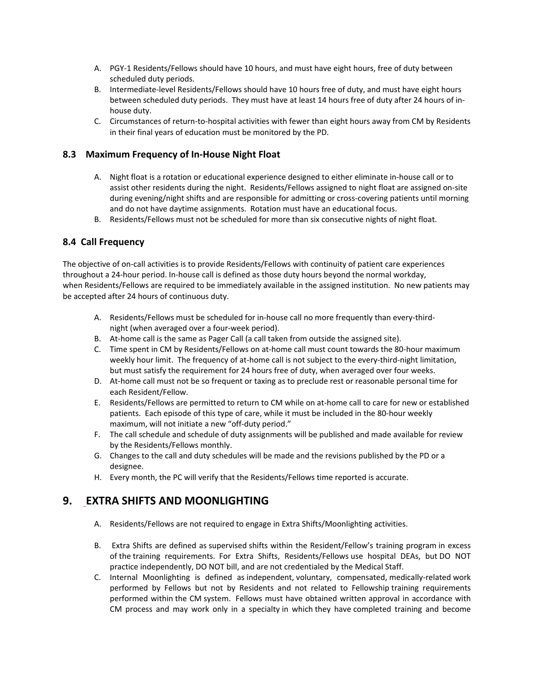- A. PGY‐1 Residents/Fellows should have 10 hours, and must have eight hours, free of duty between scheduled duty periods.
- B. Intermediate‐level Residents/Fellows should have 10 hours free of duty, and must have eight hours between scheduled duty periods. They must have at least 14 hours free of duty after 24 hours of in‐ house duty.
- C. Circumstances of return‐to‐hospital activities with fewer than eight hours away from CM by Residents in their final years of education must be monitored by the PD.

#### **8.3 Maximum Frequency of In‐House Night Float**

- A. Night float is a rotation or educational experience designed to either eliminate in‐house call or to assist other residents during the night. Residents/Fellows assigned to night float are assigned on‐site during evening/night shifts and are responsible for admitting or cross-covering patients until morning and do not have daytime assignments. Rotation must have an educational focus.
- B. Residents/Fellows must not be scheduled for more than six consecutive nights of night float.

## **8.4 Call Frequency**

The objective of on‐call activities is to provide Residents/Fellows with continuity of patient care experiences throughout a 24‐hour period. In‐house call is defined as those duty hours beyond the normal workday, when Residents/Fellows are required to be immediately available in the assigned institution. No new patients may be accepted after 24 hours of continuous duty.

- A. Residents/Fellows must be scheduled for in-house call no more frequently than every-thirdnight (when averaged over a four‐week period).
- B. At-home call is the same as Pager Call (a call taken from outside the assigned site).
- C. Time spent in CM by Residents/Fellows on at‐home call must count towards the 80‐hour maximum weekly hour limit. The frequency of at-home call is not subject to the every-third-night limitation, but must satisfy the requirement for 24 hours free of duty, when averaged over four weeks.
- D. At-home call must not be so frequent or taxing as to preclude rest or reasonable personal time for each Resident/Fellow.
- E. Residents/Fellows are permitted to return to CM while on at‐home call to care for new or established patients. Each episode of this type of care, while it must be included in the 80‐hour weekly maximum, will not initiate a new "off-duty period."
- F. The call schedule and schedule of duty assignments will be published and made available for review by the Residents/Fellows monthly.
- G. Changes to the call and duty schedules will be made and the revisions published by the PD or a designee.
- H. Every month, the PC will verify that the Residents/Fellows time reported is accurate.

# **9. EXTRA SHIFTS AND MOONLIGHTING**

- A. Residents/Fellows are not required to engage in Extra Shifts/Moonlighting activities.
- B. Extra Shifts are defined as supervised shifts within the Resident/Fellow's training program in excess of the training requirements.  For Extra Shifts, Residents/Fellows use hospital DEAs, but DO NOT practice independently, DO NOT bill, and are not credentialed by the Medical Staff.
- C. Internal Moonlighting is defined as independent, voluntary, compensated, medically‐related work performed by Fellows but not by Residents and not related to Fellowship training requirements performed within the CM system. Fellows must have obtained written approval in accordance with CM process and may work only in a specialty in which they have completed training and become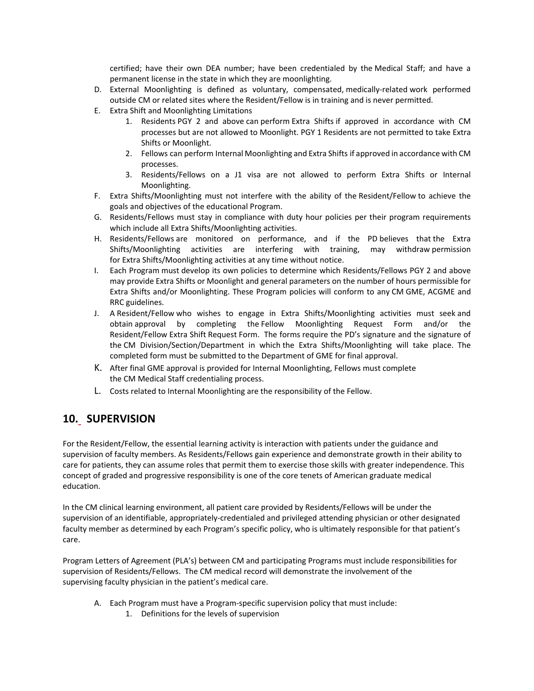certified; have their own DEA number; have been credentialed by the Medical Staff; and have a permanent license in the state in which they are moonlighting.

- D. External Moonlighting is defined as voluntary, compensated, medically-related work performed outside CM or related sites where the Resident/Fellow is in training and is never permitted.
- E. Extra Shift and Moonlighting Limitations
	- 1. Residents PGY 2 and above can perform Extra Shifts if approved in accordance with CM processes but are not allowed to Moonlight. PGY 1 Residents are not permitted to take Extra Shifts or Moonlight.
	- 2. Fellows can perform Internal Moonlighting and Extra Shifts if approved in accordance with CM processes.
	- 3. Residents/Fellows on a J1 visa are not allowed to perform Extra Shifts or Internal Moonlighting.
- F. Extra Shifts/Moonlighting must not interfere with the ability of the Resident/Fellow to achieve the goals and objectives of the educational Program.
- G. Residents/Fellows must stay in compliance with duty hour policies per their program requirements which include all Extra Shifts/Moonlighting activities.
- H. Residents/Fellows are monitored on performance, and if the PD believes that the Extra Shifts/Moonlighting activities are interfering with training, may withdraw permission for Extra Shifts/Moonlighting activities at any time without notice.
- I. Each Program must develop its own policies to determine which Residents/Fellows PGY 2 and above may provide Extra Shifts or Moonlight and general parameters on the number of hours permissible for Extra Shifts and/or Moonlighting. These Program policies will conform to any CM GME, ACGME and RRC guidelines.
- J. A Resident/Fellow who wishes to engage in Extra Shifts/Moonlighting activities must seek and obtain approval by completing the Fellow Moonlighting Request Form and/or the Resident/Fellow Extra Shift Request Form. The forms require the PD's signature and the signature of the CM Division/Section/Department in which the Extra Shifts/Moonlighting will take place. The completed form must be submitted to the Department of GME for final approval.
- K. After final GME approval is provided for Internal Moonlighting, Fellows must complete the CM Medical Staff credentialing process.
- L. Costs related to Internal Moonlighting are the responsibility of the Fellow.

# **10. SUPERVISION**

For the Resident/Fellow, the essential learning activity is interaction with patients under the guidance and supervision of faculty members. As Residents/Fellows gain experience and demonstrate growth in their ability to care for patients, they can assume roles that permit them to exercise those skills with greater independence. This concept of graded and progressive responsibility is one of the core tenets of American graduate medical education.

In the CM clinical learning environment, all patient care provided by Residents/Fellows will be under the supervision of an identifiable, appropriately‐credentialed and privileged attending physician or other designated faculty member as determined by each Program's specific policy, who is ultimately responsible for that patient's care.

Program Letters of Agreement (PLA's) between CM and participating Programs must include responsibilities for supervision of Residents/Fellows. The CM medical record will demonstrate the involvement of the supervising faculty physician in the patient's medical care.

- A. Each Program must have a Program‐specific supervision policy that must include:
	- 1. Definitions for the levels of supervision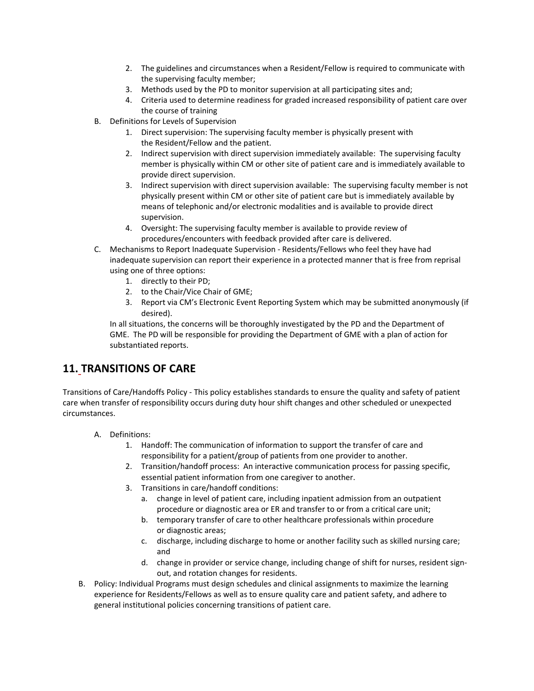- 2. The guidelines and circumstances when a Resident/Fellow is required to communicate with the supervising faculty member;
- 3. Methods used by the PD to monitor supervision at all participating sites and;
- 4. Criteria used to determine readiness for graded increased responsibility of patient care over the course of training
- B. Definitions for Levels of Supervision
	- 1. Direct supervision: The supervising faculty member is physically present with the Resident/Fellow and the patient.
	- 2. Indirect supervision with direct supervision immediately available: The supervising faculty member is physically within CM or other site of patient care and is immediately available to provide direct supervision.
	- 3. Indirect supervision with direct supervision available: The supervising faculty member is not physically present within CM or other site of patient care but is immediately available by means of telephonic and/or electronic modalities and is available to provide direct supervision.
	- 4. Oversight: The supervising faculty member is available to provide review of procedures/encounters with feedback provided after care is delivered.
- C. Mechanisms to Report Inadequate Supervision ‐ Residents/Fellows who feel they have had inadequate supervision can report their experience in a protected manner that is free from reprisal using one of three options:
	- 1. directly to their PD;
	- 2. to the Chair/Vice Chair of GME;
	- 3. Report via CM's Electronic Event Reporting System which may be submitted anonymously (if desired).

In all situations, the concerns will be thoroughly investigated by the PD and the Department of GME. The PD will be responsible for providing the Department of GME with a plan of action for substantiated reports.

# **11. TRANSITIONS OF CARE**

Transitions of Care/Handoffs Policy ‐ This policy establishes standards to ensure the quality and safety of patient care when transfer of responsibility occurs during duty hour shift changes and other scheduled or unexpected circumstances.

- A. Definitions:
	- 1. Handoff: The communication of information to support the transfer of care and responsibility for a patient/group of patients from one provider to another.
	- 2. Transition/handoff process: An interactive communication process for passing specific, essential patient information from one caregiver to another.
	- 3. Transitions in care/handoff conditions:
		- a. change in level of patient care, including inpatient admission from an outpatient procedure or diagnostic area or ER and transfer to or from a critical care unit;
		- b. temporary transfer of care to other healthcare professionals within procedure or diagnostic areas;
		- c. discharge, including discharge to home or another facility such as skilled nursing care; and
		- d. change in provider or service change, including change of shift for nurses, resident signout, and rotation changes for residents.
- B. Policy: Individual Programs must design schedules and clinical assignments to maximize the learning experience for Residents/Fellows as well as to ensure quality care and patient safety, and adhere to general institutional policies concerning transitions of patient care.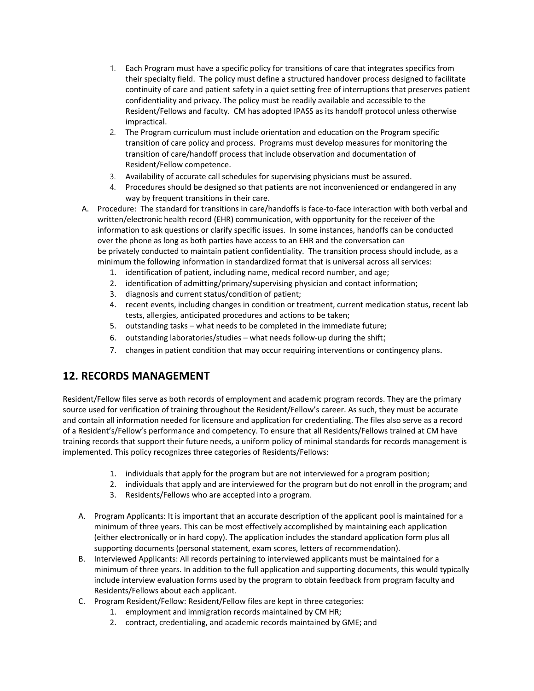- 1. Each Program must have a specific policy for transitions of care that integrates specifics from their specialty field. The policy must define a structured handover process designed to facilitate continuity of care and patient safety in a quiet setting free of interruptions that preserves patient confidentiality and privacy. The policy must be readily available and accessible to the Resident/Fellows and faculty. CM has adopted IPASS as its handoff protocol unless otherwise impractical.
- 2. The Program curriculum must include orientation and education on the Program specific transition of care policy and process. Programs must develop measures for monitoring the transition of care/handoff process that include observation and documentation of Resident/Fellow competence.
- 3. Availability of accurate call schedules for supervising physicians must be assured.
- 4. Procedures should be designed so that patients are not inconvenienced or endangered in any way by frequent transitions in their care.
- A. Procedure: The standard for transitions in care/handoffs is face-to-face interaction with both verbal and written/electronic health record (EHR) communication, with opportunity for the receiver of the information to ask questions or clarify specific issues. In some instances, handoffs can be conducted over the phone as long as both parties have access to an EHR and the conversation can be privately conducted to maintain patient confidentiality. The transition process should include, as a minimum the following information in standardized format that is universal across all services:
	- 1. identification of patient, including name, medical record number, and age;
	- 2. identification of admitting/primary/supervising physician and contact information;
	- 3. diagnosis and current status/condition of patient;
	- 4. recent events, including changes in condition or treatment, current medication status, recent lab tests, allergies, anticipated procedures and actions to be taken;
	- 5. outstanding tasks what needs to be completed in the immediate future;
	- 6. outstanding laboratories/studies what needs follow‐up during the shift;
	- 7. changes in patient condition that may occur requiring interventions or contingency plans.

# **12. RECORDS MANAGEMENT**

Resident/Fellow files serve as both records of employment and academic program records. They are the primary source used for verification of training throughout the Resident/Fellow's career. As such, they must be accurate and contain all information needed for licensure and application for credentialing. The files also serve as a record of a Resident's/Fellow's performance and competency. To ensure that all Residents/Fellows trained at CM have training records that support their future needs, a uniform policy of minimal standards for records management is implemented. This policy recognizes three categories of Residents/Fellows:

- 1. individuals that apply for the program but are not interviewed for a program position;
- 2. individuals that apply and are interviewed for the program but do not enroll in the program; and
- 3. Residents/Fellows who are accepted into a program.
- A. Program Applicants: It is important that an accurate description of the applicant pool is maintained for a minimum of three years. This can be most effectively accomplished by maintaining each application (either electronically or in hard copy). The application includes the standard application form plus all supporting documents (personal statement, exam scores, letters of recommendation).
- B. Interviewed Applicants: All records pertaining to interviewed applicants must be maintained for a minimum of three years. In addition to the full application and supporting documents, this would typically include interview evaluation forms used by the program to obtain feedback from program faculty and Residents/Fellows about each applicant.
- C. Program Resident/Fellow: Resident/Fellow files are kept in three categories:
	- 1. employment and immigration records maintained by CM HR;
	- 2. contract, credentialing, and academic records maintained by GME; and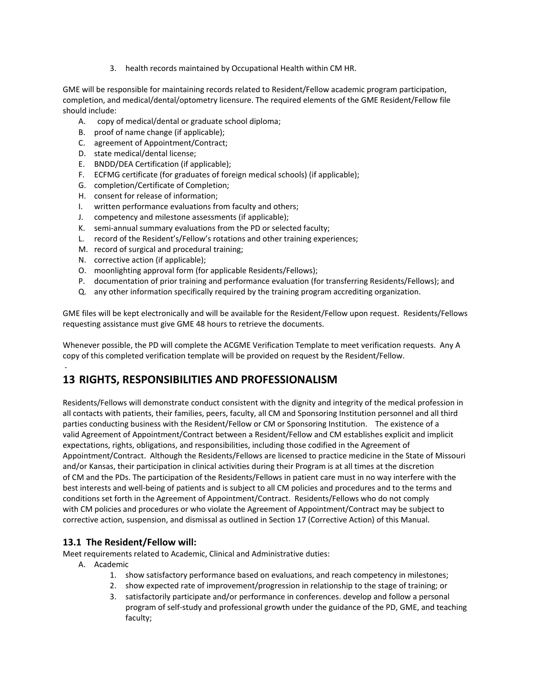3. health records maintained by Occupational Health within CM HR.

GME will be responsible for maintaining records related to Resident/Fellow academic program participation, completion, and medical/dental/optometry licensure. The required elements of the GME Resident/Fellow file should include:

- A. copy of medical/dental or graduate school diploma;
- B. proof of name change (if applicable);
- C. agreement of Appointment/Contract;
- D. state medical/dental license;
- E. BNDD/DEA Certification (if applicable);
- F. ECFMG certificate (for graduates of foreign medical schools) (if applicable);
- G. completion/Certificate of Completion;
- H. consent for release of information;
- I. written performance evaluations from faculty and others;
- J. competency and milestone assessments (if applicable);
- K. semi‐annual summary evaluations from the PD or selected faculty;
- L. record of the Resident's/Fellow's rotations and other training experiences;
- M. record of surgical and procedural training;
- N. corrective action (if applicable);
- O. moonlighting approval form (for applicable Residents/Fellows);
- P. documentation of prior training and performance evaluation (for transferring Residents/Fellows); and
- Q. any other information specifically required by the training program accrediting organization.

GME files will be kept electronically and will be available for the Resident/Fellow upon request.  Residents/Fellows requesting assistance must give GME 48 hours to retrieve the documents.

Whenever possible, the PD will complete the ACGME Verification Template to meet verification requests. Any A copy of this completed verification template will be provided on request by the Resident/Fellow.

# **13 RIGHTS, RESPONSIBILITIES AND PROFESSIONALISM**

Residents/Fellows will demonstrate conduct consistent with the dignity and integrity of the medical profession in all contacts with patients, their families, peers, faculty, all CM and Sponsoring Institution personnel and all third parties conducting business with the Resident/Fellow or CM or Sponsoring Institution. The existence of a valid Agreement of Appointment/Contract between a Resident/Fellow and CM establishes explicit and implicit expectations, rights, obligations, and responsibilities, including those codified in the Agreement of Appointment/Contract. Although the Residents/Fellows are licensed to practice medicine in the State of Missouri and/or Kansas, their participation in clinical activities during their Program is at all times at the discretion of CM and the PDs. The participation of the Residents/Fellows in patient care must in no way interfere with the best interests and well‐being of patients and is subject to all CM policies and procedures and to the terms and conditions set forth in the Agreement of Appointment/Contract. Residents/Fellows who do not comply with CM policies and procedures or who violate the Agreement of Appointment/Contract may be subject to corrective action, suspension, and dismissal as outlined in Section 17 (Corrective Action) of this Manual.

## **13.1 The Resident/Fellow will:**

Meet requirements related to Academic, Clinical and Administrative duties:

- A. Academic
	- 1. show satisfactory performance based on evaluations, and reach competency in milestones;
	- 2. show expected rate of improvement/progression in relationship to the stage of training; or
	- 3. satisfactorily participate and/or performance in conferences. develop and follow a personal program of self‐study and professional growth under the guidance of the PD, GME, and teaching faculty;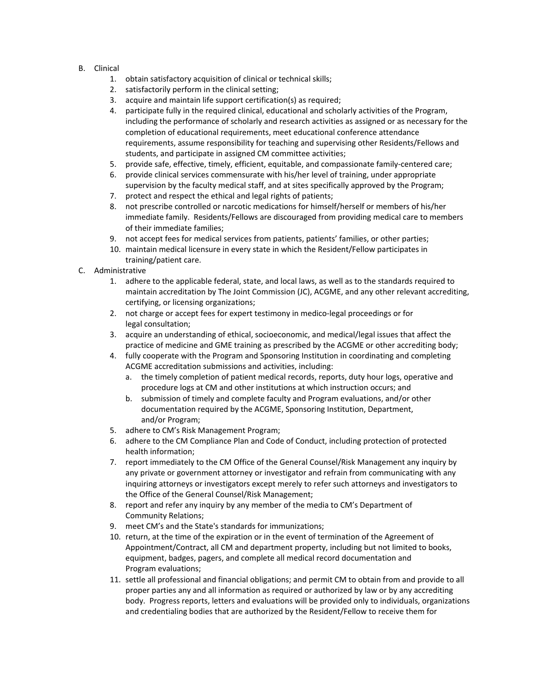- B. Clinical
	- 1. obtain satisfactory acquisition of clinical or technical skills;
	- 2. satisfactorily perform in the clinical setting;
	- 3. acquire and maintain life support certification(s) as required;
	- 4. participate fully in the required clinical, educational and scholarly activities of the Program, including the performance of scholarly and research activities as assigned or as necessary for the completion of educational requirements, meet educational conference attendance requirements, assume responsibility for teaching and supervising other Residents/Fellows and students, and participate in assigned CM committee activities;
	- 5. provide safe, effective, timely, efficient, equitable, and compassionate family-centered care;
	- 6. provide clinical services commensurate with his/her level of training, under appropriate supervision by the faculty medical staff, and at sites specifically approved by the Program;
	- 7. protect and respect the ethical and legal rights of patients;
	- 8. not prescribe controlled or narcotic medications for himself/herself or members of his/her immediate family. Residents/Fellows are discouraged from providing medical care to members of their immediate families;
	- 9. not accept fees for medical services from patients, patients' families, or other parties;
	- 10. maintain medical licensure in every state in which the Resident/Fellow participates in training/patient care.
- C. Administrative
	- 1. adhere to the applicable federal, state, and local laws, as well as to the standards required to maintain accreditation by The Joint Commission (JC), ACGME, and any other relevant accrediting, certifying, or licensing organizations;
	- 2. not charge or accept fees for expert testimony in medico-legal proceedings or for legal consultation;
	- 3. acquire an understanding of ethical, socioeconomic, and medical/legal issues that affect the practice of medicine and GME training as prescribed by the ACGME or other accrediting body;
	- 4. fully cooperate with the Program and Sponsoring Institution in coordinating and completing ACGME accreditation submissions and activities, including:
		- a. the timely completion of patient medical records, reports, duty hour logs, operative and procedure logs at CM and other institutions at which instruction occurs; and
		- b. submission of timely and complete faculty and Program evaluations, and/or other documentation required by the ACGME, Sponsoring Institution, Department, and/or Program;
	- 5. adhere to CM's Risk Management Program;
	- 6. adhere to the CM Compliance Plan and Code of Conduct, including protection of protected health information;
	- 7. report immediately to the CM Office of the General Counsel/Risk Management any inquiry by any private or government attorney or investigator and refrain from communicating with any inquiring attorneys or investigators except merely to refer such attorneys and investigators to the Office of the General Counsel/Risk Management;
	- 8. report and refer any inquiry by any member of the media to CM's Department of Community Relations;
	- 9. meet CM's and the State's standards for immunizations;
	- 10. return, at the time of the expiration or in the event of termination of the Agreement of Appointment/Contract, all CM and department property, including but not limited to books, equipment, badges, pagers, and complete all medical record documentation and Program evaluations;
	- 11. settle all professional and financial obligations; and permit CM to obtain from and provide to all proper parties any and all information as required or authorized by law or by any accrediting body. Progress reports, letters and evaluations will be provided only to individuals, organizations and credentialing bodies that are authorized by the Resident/Fellow to receive them for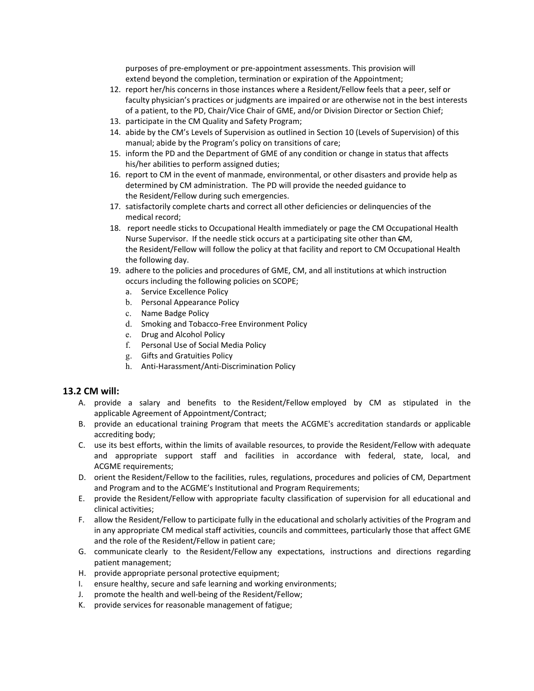purposes of pre‐employment or pre‐appointment assessments. This provision will extend beyond the completion, termination or expiration of the Appointment;

- 12. report her/his concerns in those instances where a Resident/Fellow feels that a peer, self or faculty physician's practices or judgments are impaired or are otherwise not in the best interests of a patient, to the PD, Chair/Vice Chair of GME, and/or Division Director or Section Chief;
- 13. participate in the CM Quality and Safety Program;
- 14. abide by the CM's Levels of Supervision as outlined in Section 10 (Levels of Supervision) of this manual; abide by the Program's policy on transitions of care;
- 15. inform the PD and the Department of GME of any condition or change in status that affects his/her abilities to perform assigned duties;
- 16. report to CM in the event of manmade, environmental, or other disasters and provide help as determined by CM administration.  The PD will provide the needed guidance to the Resident/Fellow during such emergencies.
- 17. satisfactorily complete charts and correct all other deficiencies or delinquencies of the medical record;
- 18. report needle sticks to Occupational Health immediately or page the CM Occupational Health Nurse Supervisor. If the needle stick occurs at a participating site other than CM, the Resident/Fellow will follow the policy at that facility and report to CM Occupational Health the following day.
- 19. adhere to the policies and procedures of GME, CM, and all institutions at which instruction occurs including the following policies on SCOPE;
	- a. Service Excellence Policy
	- b. Personal Appearance Policy
	- c. Name Badge Policy
	- d. Smoking and Tobacco‐Free Environment Policy
	- e. Drug and Alcohol Policy
	- f. Personal Use of Social Media Policy
	- g. Gifts and Gratuities Policy
	- h. Anti-Harassment/Anti-Discrimination Policy

#### **13.2 CM will:**

- A. provide a salary and benefits to the Resident/Fellow employed by CM as stipulated in the applicable Agreement of Appointment/Contract;
- B. provide an educational training Program that meets the ACGME's accreditation standards or applicable accrediting body;
- C. use its best efforts, within the limits of available resources, to provide the Resident/Fellow with adequate and appropriate support staff and facilities in accordance with federal, state, local, and ACGME requirements;
- D. orient the Resident/Fellow to the facilities, rules, regulations, procedures and policies of CM, Department and Program and to the ACGME's Institutional and Program Requirements;
- E. provide the Resident/Fellow with appropriate faculty classification of supervision for all educational and clinical activities;
- F. allow the Resident/Fellow to participate fully in the educational and scholarly activities of the Program and in any appropriate CM medical staff activities, councils and committees, particularly those that affect GME and the role of the Resident/Fellow in patient care;
- G. communicate clearly to the Resident/Fellow any expectations, instructions and directions regarding patient management;
- H. provide appropriate personal protective equipment;
- I. ensure healthy, secure and safe learning and working environments;
- J. promote the health and well‐being of the Resident/Fellow;
- K. provide services for reasonable management of fatigue;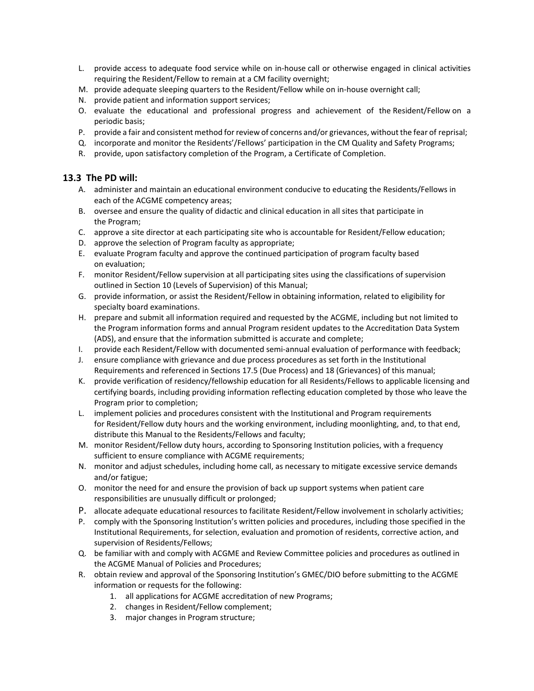- L. provide access to adequate food service while on in‐house call or otherwise engaged in clinical activities requiring the Resident/Fellow to remain at a CM facility overnight;
- M. provide adequate sleeping quarters to the Resident/Fellow while on in-house overnight call;
- N. provide patient and information support services;
- O. evaluate the educational and professional progress and achievement of the Resident/Fellow on a periodic basis;
- P. provide a fair and consistent method for review of concerns and/or grievances, without the fear of reprisal;
- Q. incorporate and monitor the Residents'/Fellows' participation in the CM Quality and Safety Programs;
- R. provide, upon satisfactory completion of the Program, a Certificate of Completion.

#### **13.3 The PD will:**

- A. administer and maintain an educational environment conducive to educating the Residents/Fellows in each of the ACGME competency areas;
- B. oversee and ensure the quality of didactic and clinical education in all sites that participate in the Program;
- C. approve a site director at each participating site who is accountable for Resident/Fellow education;
- D. approve the selection of Program faculty as appropriate;
- E. evaluate Program faculty and approve the continued participation of program faculty based on evaluation;
- F. monitor Resident/Fellow supervision at all participating sites using the classifications of supervision outlined in Section 10 (Levels of Supervision) of this Manual;
- G. provide information, or assist the Resident/Fellow in obtaining information, related to eligibility for specialty board examinations.
- H. prepare and submit all information required and requested by the ACGME, including but not limited to the Program information forms and annual Program resident updates to the Accreditation Data System (ADS), and ensure that the information submitted is accurate and complete;
- I. provide each Resident/Fellow with documented semi‐annual evaluation of performance with feedback;
- J. ensure compliance with grievance and due process procedures as set forth in the Institutional Requirements and referenced in Sections 17.5 (Due Process) and 18 (Grievances) of this manual;
- K. provide verification of residency/fellowship education for all Residents/Fellows to applicable licensing and certifying boards, including providing information reflecting education completed by those who leave the Program prior to completion;
- L. implement policies and procedures consistent with the Institutional and Program requirements for Resident/Fellow duty hours and the working environment, including moonlighting, and, to that end, distribute this Manual to the Residents/Fellows and faculty;
- M. monitor Resident/Fellow duty hours, according to Sponsoring Institution policies, with a frequency sufficient to ensure compliance with ACGME requirements;
- N. monitor and adjust schedules, including home call, as necessary to mitigate excessive service demands and/or fatigue;
- O. monitor the need for and ensure the provision of back up support systems when patient care responsibilities are unusually difficult or prolonged;
- P. allocate adequate educational resources to facilitate Resident/Fellow involvement in scholarly activities;
- P. comply with the Sponsoring Institution's written policies and procedures, including those specified in the Institutional Requirements, for selection, evaluation and promotion of residents, corrective action, and supervision of Residents/Fellows;
- Q. be familiar with and comply with ACGME and Review Committee policies and procedures as outlined in the ACGME Manual of Policies and Procedures;
- R. obtain review and approval of the Sponsoring Institution's GMEC/DIO before submitting to the ACGME information or requests for the following:
	- 1. all applications for ACGME accreditation of new Programs;
	- 2. changes in Resident/Fellow complement;
	- 3. major changes in Program structure;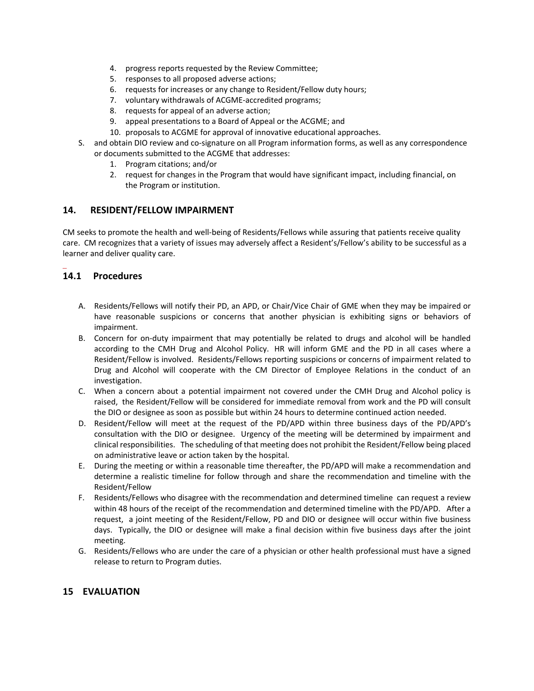- 4. progress reports requested by the Review Committee;
- 5. responses to all proposed adverse actions;
- 6. requests for increases or any change to Resident/Fellow duty hours;
- 7. voluntary withdrawals of ACGME‐accredited programs;
- 8. requests for appeal of an adverse action;
- 9. appeal presentations to a Board of Appeal or the ACGME; and
- 10. proposals to ACGME for approval of innovative educational approaches.
- S. and obtain DIO review and co-signature on all Program information forms, as well as any correspondence or documents submitted to the ACGME that addresses:
	- 1. Program citations; and/or
	- 2. request for changes in the Program that would have significant impact, including financial, on the Program or institution.

#### **14.      RESIDENT/FELLOW IMPAIRMENT**

CM seeks to promote the health and well‐being of Residents/Fellows while assuring that patients receive quality care.  CM recognizes that a variety of issues may adversely affect a Resident's/Fellow's ability to be successful as a learner and deliver quality care. 

## **14.1 Procedures**

j.

- A. Residents/Fellows will notify their PD, an APD, or Chair/Vice Chair of GME when they may be impaired or have reasonable suspicions or concerns that another physician is exhibiting signs or behaviors of impairment.
- B. Concern for on-duty impairment that may potentially be related to drugs and alcohol will be handled according to the CMH Drug and Alcohol Policy. HR will inform GME and the PD in all cases where a Resident/Fellow is involved. Residents/Fellows reporting suspicions or concerns of impairment related to Drug and Alcohol will cooperate with the CM Director of Employee Relations in the conduct of an investigation.
- C. When a concern about a potential impairment not covered under the CMH Drug and Alcohol policy is raised, the Resident/Fellow will be considered for immediate removal from work and the PD will consult the DIO or designee as soon as possible but within 24 hours to determine continued action needed.
- D. Resident/Fellow will meet at the request of the PD/APD within three business days of the PD/APD's consultation with the DIO or designee. Urgency of the meeting will be determined by impairment and clinical responsibilities. The scheduling of that meeting does not prohibit the Resident/Fellow being placed on administrative leave or action taken by the hospital.
- E. During the meeting or within a reasonable time thereafter, the PD/APD will make a recommendation and determine a realistic timeline for follow through and share the recommendation and timeline with the Resident/Fellow
- F. Residents/Fellows who disagree with the recommendation and determined timeline can request a review within 48 hours of the receipt of the recommendation and determined timeline with the PD/APD. After a request, a joint meeting of the Resident/Fellow, PD and DIO or designee will occur within five business days. Typically, the DIO or designee will make a final decision within five business days after the joint meeting.
- G. Residents/Fellows who are under the care of a physician or other health professional must have a signed release to return to Program duties.

#### **15 EVALUATION**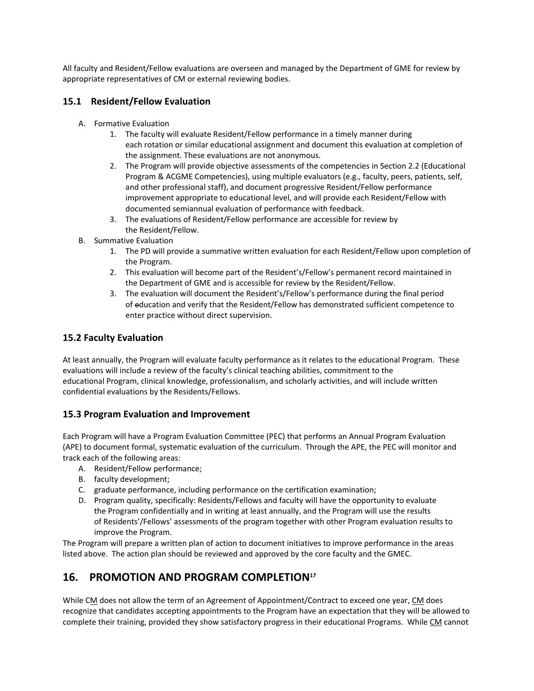All faculty and Resident/Fellow evaluations are overseen and managed by the Department of GME for review by appropriate representatives of CM or external reviewing bodies.

## **15.1 Resident/Fellow Evaluation**

- A. Formative Evaluation
	- 1. The faculty will evaluate Resident/Fellow performance in a timely manner during each rotation or similar educational assignment and document this evaluation at completion of the assignment. These evaluations are not anonymous.
	- 2. The Program will provide objective assessments of the competencies in Section 2.2 (Educational Program & ACGME Competencies), using multiple evaluators (e.g., faculty, peers, patients, self, and other professional staff), and document progressive Resident/Fellow performance improvement appropriate to educational level, and will provide each Resident/Fellow with documented semiannual evaluation of performance with feedback.
	- 3. The evaluations of Resident/Fellow performance are accessible for review by the Resident/Fellow.
- B. Summative Evaluation
	- 1. The PD will provide a summative written evaluation for each Resident/Fellow upon completion of the Program.
	- 2. This evaluation will become part of the Resident's/Fellow's permanent record maintained in the Department of GME and is accessible for review by the Resident/Fellow.
	- 3. The evaluation will document the Resident's/Fellow's performance during the final period of education and verify that the Resident/Fellow has demonstrated sufficient competence to enter practice without direct supervision.

#### **15.2 Faculty Evaluation**

At least annually, the Program will evaluate faculty performance as it relates to the educational Program. These evaluations will include a review of the faculty's clinical teaching abilities, commitment to the educational Program, clinical knowledge, professionalism, and scholarly activities, and will include written confidential evaluations by the Residents/Fellows.

#### **15.3 Program Evaluation and Improvement**

Each Program will have a Program Evaluation Committee (PEC) that performs an Annual Program Evaluation (APE) to document formal, systematic evaluation of the curriculum. Through the APE, the PEC will monitor and track each of the following areas:

- A. Resident/Fellow performance;
- B. faculty development;
- C. graduate performance, including performance on the certification examination;
- D. Program quality, specifically: Residents/Fellows and faculty will have the opportunity to evaluate the Program confidentially and in writing at least annually, and the Program will use the results of Residents'/Fellows' assessments of the program together with other Program evaluation results to improve the Program.

The Program will prepare a written plan of action to document initiatives to improve performance in the areas listed above. The action plan should be reviewed and approved by the core faculty and the GMEC.

# 16. PROMOTION AND PROGRAM COMPLETION<sup>17</sup>

While CM does not allow the term of an Agreement of Appointment/Contract to exceed one year, CM does recognize that candidates accepting appointments to the Program have an expectation that they will be allowed to complete their training, provided they show satisfactory progress in their educational Programs. While CM cannot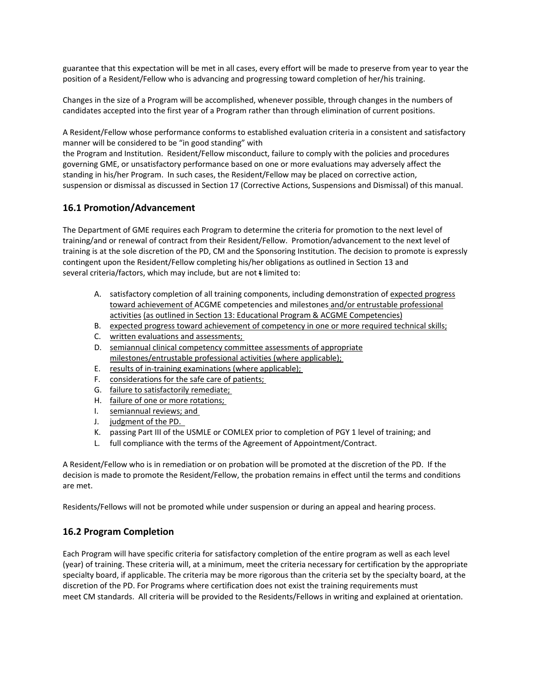guarantee that this expectation will be met in all cases, every effort will be made to preserve from year to year the position of a Resident/Fellow who is advancing and progressing toward completion of her/his training.

Changes in the size of a Program will be accomplished, whenever possible, through changes in the numbers of candidates accepted into the first year of a Program rather than through elimination of current positions.

A Resident/Fellow whose performance conforms to established evaluation criteria in a consistent and satisfactory manner will be considered to be "in good standing" with

the Program and Institution. Resident/Fellow misconduct, failure to comply with the policies and procedures governing GME, or unsatisfactory performance based on one or more evaluations may adversely affect the standing in his/her Program. In such cases, the Resident/Fellow may be placed on corrective action, suspension or dismissal as discussed in Section 17 (Corrective Actions, Suspensions and Dismissal) of this manual.

## **16.1 Promotion/Advancement**

The Department of GME requires each Program to determine the criteria for promotion to the next level of training/and or renewal of contract from their Resident/Fellow. Promotion/advancement to the next level of training is at the sole discretion of the PD, CM and the Sponsoring Institution. The decision to promote is expressly contingent upon the Resident/Fellow completing his/her obligations as outlined in Section 13 and several criteria/factors, which may include, but are not  $t$  limited to:

- A. satisfactory completion of all training components, including demonstration of expected progress toward achievement of ACGME competencies and milestones and/or entrustable professional activities (as outlined in Section 13: Educational Program & ACGME Competencies)
- B. expected progress toward achievement of competency in one or more required technical skills;
- C. written evaluations and assessments;
- D. semiannual clinical competency committee assessments of appropriate milestones/entrustable professional activities (where applicable);
- E. results of in‐training examinations (where applicable);
- F. considerations for the safe care of patients;
- G. failure to satisfactorily remediate;
- H. failure of one or more rotations;
- I. semiannual reviews; and
- J. judgment of the PD.
- K. passing Part III of the USMLE or COMLEX prior to completion of PGY 1 level of training; and
- L. full compliance with the terms of the Agreement of Appointment/Contract.

A Resident/Fellow who is in remediation or on probation will be promoted at the discretion of the PD. If the decision is made to promote the Resident/Fellow, the probation remains in effect until the terms and conditions are met.

Residents/Fellows will not be promoted while under suspension or during an appeal and hearing process.

## **16.2 Program Completion**

Each Program will have specific criteria for satisfactory completion of the entire program as well as each level (year) of training. These criteria will, at a minimum, meet the criteria necessary for certification by the appropriate specialty board, if applicable. The criteria may be more rigorous than the criteria set by the specialty board, at the discretion of the PD. For Programs where certification does not exist the training requirements must meet CM standards. All criteria will be provided to the Residents/Fellows in writing and explained at orientation.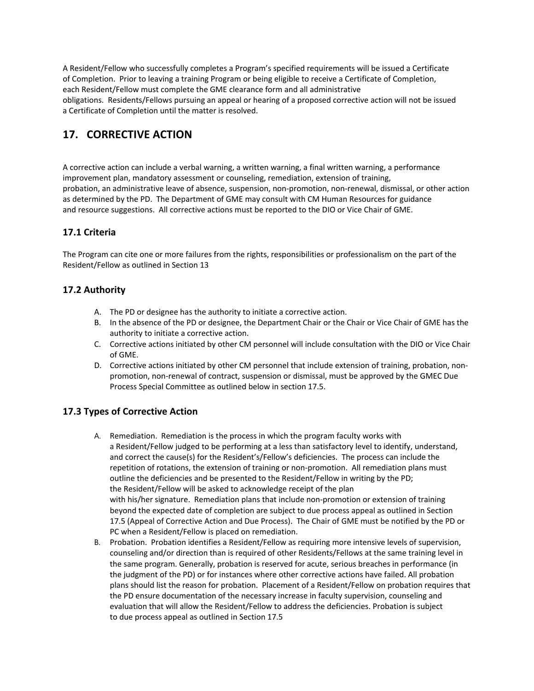A Resident/Fellow who successfully completes a Program's specified requirements will be issued a Certificate of Completion. Prior to leaving a training Program or being eligible to receive a Certificate of Completion, each Resident/Fellow must complete the GME clearance form and all administrative obligations. Residents/Fellows pursuing an appeal or hearing of a proposed corrective action will not be issued a Certificate of Completion until the matter is resolved.

# 17. **CORRECTIVE ACTION**

A corrective action can include a verbal warning, a written warning, a final written warning, a performance improvement plan, mandatory assessment or counseling, remediation, extension of training, probation, an administrative leave of absence, suspension, non‐promotion, non‐renewal, dismissal, or other action as determined by the PD. The Department of GME may consult with CM Human Resources for guidance and resource suggestions. All corrective actions must be reported to the DIO or Vice Chair of GME.

# **17.1 Criteria**

The Program can cite one or more failures from the rights, responsibilities or professionalism on the part of the Resident/Fellow as outlined in Section 13

# **17.2 Authority**

- A. The PD or designee has the authority to initiate a corrective action.
- B. In the absence of the PD or designee, the Department Chair or the Chair or Vice Chair of GME has the authority to initiate a corrective action.
- C. Corrective actions initiated by other CM personnel will include consultation with the DIO or Vice Chair of GME.
- D. Corrective actions initiated by other CM personnel that include extension of training, probation, nonpromotion, non‐renewal of contract, suspension or dismissal, must be approved by the GMEC Due Process Special Committee as outlined below in section 17.5.

## **17.3 Types of Corrective Action**

- A. Remediation. Remediation is the process in which the program faculty works with a Resident/Fellow judged to be performing at a less than satisfactory level to identify, understand, and correct the cause(s) for the Resident's/Fellow's deficiencies. The process can include the repetition of rotations, the extension of training or non-promotion. All remediation plans must outline the deficiencies and be presented to the Resident/Fellow in writing by the PD; the Resident/Fellow will be asked to acknowledge receipt of the plan with his/her signature. Remediation plans that include non-promotion or extension of training beyond the expected date of completion are subject to due process appeal as outlined in Section 17.5 (Appeal of Corrective Action and Due Process). The Chair of GME must be notified by the PD or PC when a Resident/Fellow is placed on remediation.
- B. Probation. Probation identifies a Resident/Fellow as requiring more intensive levels of supervision, counseling and/or direction than is required of other Residents/Fellows at the same training level in the same program. Generally, probation is reserved for acute, serious breaches in performance (in the judgment of the PD) or for instances where other corrective actions have failed. All probation plans should list the reason for probation. Placement of a Resident/Fellow on probation requires that the PD ensure documentation of the necessary increase in faculty supervision, counseling and evaluation that will allow the Resident/Fellow to address the deficiencies. Probation is subject to due process appeal as outlined in Section 17.5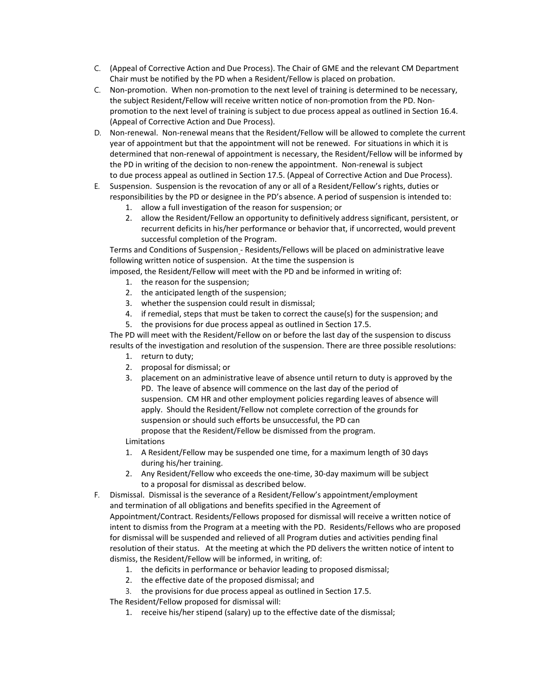- C. (Appeal of Corrective Action and Due Process). The Chair of GME and the relevant CM Department Chair must be notified by the PD when a Resident/Fellow is placed on probation.
- C. Non‐promotion. When non‐promotion to the next level of training is determined to be necessary, the subject Resident/Fellow will receive written notice of non-promotion from the PD. Nonpromotion to the next level of training is subject to due process appeal as outlined in Section 16.4. (Appeal of Corrective Action and Due Process).
- D. Non-renewal. Non-renewal means that the Resident/Fellow will be allowed to complete the current year of appointment but that the appointment will not be renewed. For situations in which it is determined that non‐renewal of appointment is necessary, the Resident/Fellow will be informed by the PD in writing of the decision to non-renew the appointment. Non-renewal is subject to due process appeal as outlined in Section 17.5. (Appeal of Corrective Action and Due Process).
- E. Suspension. Suspension is the revocation of any or all of a Resident/Fellow's rights, duties or responsibilities by the PD or designee in the PD's absence. A period of suspension is intended to:
	- 1. allow a full investigation of the reason for suspension; or
	- 2. allow the Resident/Fellow an opportunity to definitively address significant, persistent, or recurrent deficits in his/her performance or behavior that, if uncorrected, would prevent successful completion of the Program.

Terms and Conditions of Suspension ‐ Residents/Fellows will be placed on administrative leave following written notice of suspension. At the time the suspension is

imposed, the Resident/Fellow will meet with the PD and be informed in writing of:

- 1. the reason for the suspension;
- 2. the anticipated length of the suspension;
- 3. whether the suspension could result in dismissal;
- 4. if remedial, steps that must be taken to correct the cause(s) for the suspension; and
- 5. the provisions for due process appeal as outlined in Section 17.5.

The PD will meet with the Resident/Fellow on or before the last day of the suspension to discuss results of the investigation and resolution of the suspension. There are three possible resolutions:

- 1. return to duty;
- 2. proposal for dismissal; or
- 3. placement on an administrative leave of absence until return to duty is approved by the PD. The leave of absence will commence on the last day of the period of suspension. CM HR and other employment policies regarding leaves of absence will apply. Should the Resident/Fellow not complete correction of the grounds for suspension or should such efforts be unsuccessful, the PD can propose that the Resident/Fellow be dismissed from the program. Limitations

1. A Resident/Fellow may be suspended one time, for a maximum length of 30 days during his/her training.

- 2. Any Resident/Fellow who exceeds the one-time, 30-day maximum will be subject to a proposal for dismissal as described below.
- F. Dismissal. Dismissal is the severance of a Resident/Fellow's appointment/employment and termination of all obligations and benefits specified in the Agreement of Appointment/Contract. Residents/Fellows proposed for dismissal will receive a written notice of intent to dismiss from the Program at a meeting with the PD. Residents/Fellows who are proposed for dismissal will be suspended and relieved of all Program duties and activities pending final resolution of their status. At the meeting at which the PD delivers the written notice of intent to dismiss, the Resident/Fellow will be informed, in writing, of:
	- 1. the deficits in performance or behavior leading to proposed dismissal;
	- 2. the effective date of the proposed dismissal; and
	- 3. the provisions for due process appeal as outlined in Section 17.5.

The Resident/Fellow proposed for dismissal will:

1. receive his/her stipend (salary) up to the effective date of the dismissal;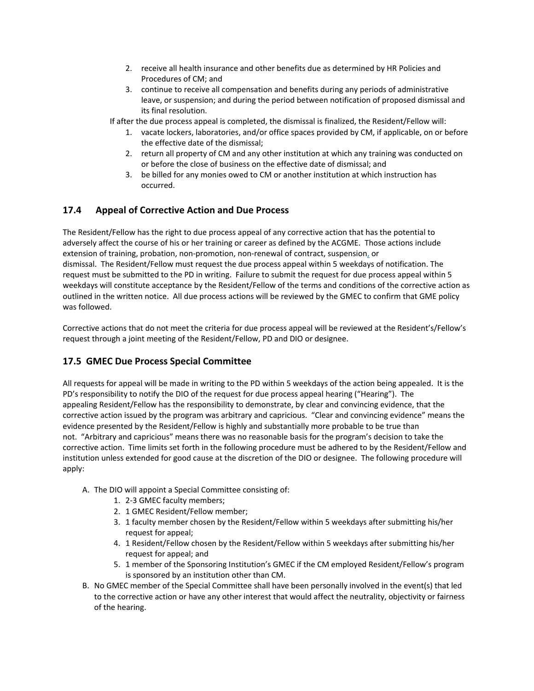- 2. receive all health insurance and other benefits due as determined by HR Policies and Procedures of CM; and
- 3. continue to receive all compensation and benefits during any periods of administrative leave, or suspension; and during the period between notification of proposed dismissal and its final resolution.

If after the due process appeal is completed, the dismissal is finalized, the Resident/Fellow will:

- 1. vacate lockers, laboratories, and/or office spaces provided by CM, if applicable, on or before the effective date of the dismissal;
- 2. return all property of CM and any other institution at which any training was conducted on or before the close of business on the effective date of dismissal; and
- 3. be billed for any monies owed to CM or another institution at which instruction has occurred.

## **17.4 Appeal of Corrective Action and Due Process**

The Resident/Fellow has the right to due process appeal of any corrective action that has the potential to adversely affect the course of his or her training or career as defined by the ACGME. Those actions include extension of training, probation, non-promotion, non-renewal of contract, suspension, or dismissal. The Resident/Fellow must request the due process appeal within 5 weekdays of notification. The request must be submitted to the PD in writing. Failure to submit the request for due process appeal within 5 weekdays will constitute acceptance by the Resident/Fellow of the terms and conditions of the corrective action as outlined in the written notice. All due process actions will be reviewed by the GMEC to confirm that GME policy was followed.

Corrective actions that do not meet the criteria for due process appeal will be reviewed at the Resident's/Fellow's request through a joint meeting of the Resident/Fellow, PD and DIO or designee.

## **17.5 GMEC Due Process Special Committee**

All requests for appeal will be made in writing to the PD within 5 weekdays of the action being appealed. It is the PD's responsibility to notify the DIO of the request for due process appeal hearing ("Hearing"). The appealing Resident/Fellow has the responsibility to demonstrate, by clear and convincing evidence, that the corrective action issued by the program was arbitrary and capricious. "Clear and convincing evidence" means the evidence presented by the Resident/Fellow is highly and substantially more probable to be true than not. "Arbitrary and capricious" means there was no reasonable basis for the program's decision to take the corrective action. Time limits set forth in the following procedure must be adhered to by the Resident/Fellow and institution unless extended for good cause at the discretion of the DIO or designee. The following procedure will apply:

- A. The DIO will appoint a Special Committee consisting of:
	- 1. 2‐3 GMEC faculty members;
	- 2. 1 GMEC Resident/Fellow member;
	- 3. 1 faculty member chosen by the Resident/Fellow within 5 weekdays after submitting his/her request for appeal;
	- 4. 1 Resident/Fellow chosen by the Resident/Fellow within 5 weekdays after submitting his/her request for appeal; and
	- 5. 1 member of the Sponsoring Institution's GMEC if the CM employed Resident/Fellow's program is sponsored by an institution other than CM.
- B. No GMEC member of the Special Committee shall have been personally involved in the event(s) that led to the corrective action or have any other interest that would affect the neutrality, objectivity or fairness of the hearing.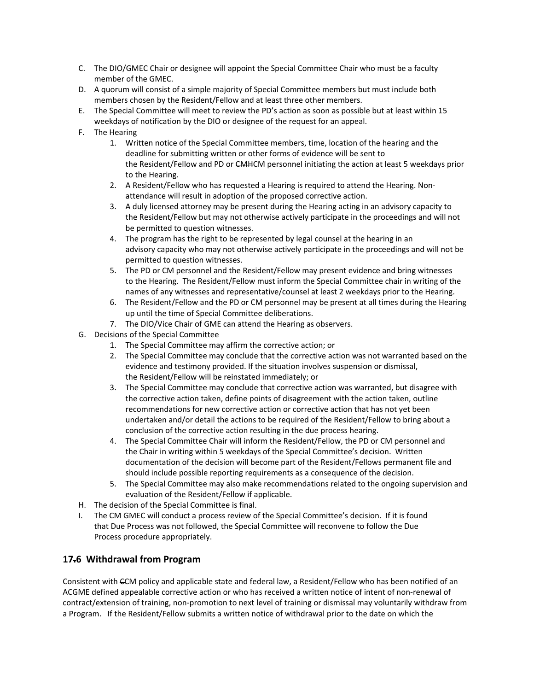- C. The DIO/GMEC Chair or designee will appoint the Special Committee Chair who must be a faculty member of the GMEC.
- D. A quorum will consist of a simple majority of Special Committee members but must include both members chosen by the Resident/Fellow and at least three other members.
- E. The Special Committee will meet to review the PD's action as soon as possible but at least within 15 weekdays of notification by the DIO or designee of the request for an appeal.
- F. The Hearing
	- 1. Written notice of the Special Committee members, time, location of the hearing and the deadline for submitting written or other forms of evidence will be sent to the Resident/Fellow and PD or CMHCM personnel initiating the action at least 5 weekdays prior to the Hearing.
	- 2. A Resident/Fellow who has requested a Hearing is required to attend the Hearing. Non‐ attendance will result in adoption of the proposed corrective action.
	- 3. A duly licensed attorney may be present during the Hearing acting in an advisory capacity to the Resident/Fellow but may not otherwise actively participate in the proceedings and will not be permitted to question witnesses.
	- 4. The program has the right to be represented by legal counsel at the hearing in an advisory capacity who may not otherwise actively participate in the proceedings and will not be permitted to question witnesses.
	- 5. The PD or CM personnel and the Resident/Fellow may present evidence and bring witnesses to the Hearing. The Resident/Fellow must inform the Special Committee chair in writing of the names of any witnesses and representative/counsel at least 2 weekdays prior to the Hearing.
	- 6. The Resident/Fellow and the PD or CM personnel may be present at all times during the Hearing up until the time of Special Committee deliberations.
	- 7. The DIO/Vice Chair of GME can attend the Hearing as observers.
- G. Decisions of the Special Committee
	- 1. The Special Committee may affirm the corrective action; or
	- 2. The Special Committee may conclude that the corrective action was not warranted based on the evidence and testimony provided. If the situation involves suspension or dismissal, the Resident/Fellow will be reinstated immediately; or
	- 3. The Special Committee may conclude that corrective action was warranted, but disagree with the corrective action taken, define points of disagreement with the action taken, outline recommendations for new corrective action or corrective action that has not yet been undertaken and/or detail the actions to be required of the Resident/Fellow to bring about a conclusion of the corrective action resulting in the due process hearing.
	- 4. The Special Committee Chair will inform the Resident/Fellow, the PD or CM personnel and the Chair in writing within 5 weekdays of the Special Committee's decision. Written documentation of the decision will become part of the Resident/Fellows permanent file and should include possible reporting requirements as a consequence of the decision.
	- 5. The Special Committee may also make recommendations related to the ongoing supervision and evaluation of the Resident/Fellow if applicable.
- H. The decision of the Special Committee is final.
- I. The CM GMEC will conduct a process review of the Special Committee's decision. If it is found that Due Process was not followed, the Special Committee will reconvene to follow the Due Process procedure appropriately.

## **17.6 Withdrawal from Program**

Consistent with CCM policy and applicable state and federal law, a Resident/Fellow who has been notified of an ACGME defined appealable corrective action or who has received a written notice of intent of non‐renewal of contract/extension of training, non‐promotion to next level of training or dismissal may voluntarily withdraw from a Program.   If the Resident/Fellow submits a written notice of withdrawal prior to the date on which the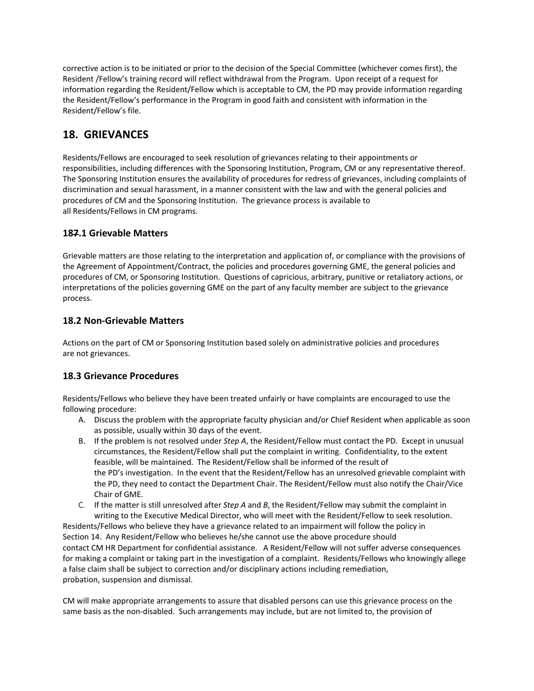corrective action is to be initiated or prior to the decision of the Special Committee (whichever comes first), the Resident /Fellow's training record will reflect withdrawal from the Program. Upon receipt of a request for information regarding the Resident/Fellow which is acceptable to CM, the PD may provide information regarding the Resident/Fellow's performance in the Program in good faith and consistent with information in the Resident/Fellow's file.

# **18. GRIEVANCES**

Residents/Fellows are encouraged to seek resolution of grievances relating to their appointments or responsibilities, including differences with the Sponsoring Institution, Program, CM or any representative thereof. The Sponsoring Institution ensures the availability of procedures for redress of grievances, including complaints of discrimination and sexual harassment, in a manner consistent with the law and with the general policies and procedures of CM and the Sponsoring Institution. The grievance process is available to all Residents/Fellows in CM programs.

## **187.1 Grievable Matters**

Grievable matters are those relating to the interpretation and application of, or compliance with the provisions of the Agreement of Appointment/Contract, the policies and procedures governing GME, the general policies and procedures of CM, or Sponsoring Institution. Questions of capricious, arbitrary, punitive or retaliatory actions, or interpretations of the policies governing GME on the part of any faculty member are subject to the grievance process.

## **18.2 Non‐Grievable Matters**

Actions on the part of CM or Sponsoring Institution based solely on administrative policies and procedures are not grievances.

# **18.3 Grievance Procedures**

Residents/Fellows who believe they have been treated unfairly or have complaints are encouraged to use the following procedure:

- A. Discuss the problem with the appropriate faculty physician and/or Chief Resident when applicable as soon as possible, usually within 30 days of the event.
- B. If the problem is not resolved under *Step A*, the Resident/Fellow must contact the PD.  Except in unusual circumstances, the Resident/Fellow shall put the complaint in writing.  Confidentiality, to the extent feasible, will be maintained.  The Resident/Fellow shall be informed of the result of the PD's investigation. In the event that the Resident/Fellow has an unresolved grievable complaint with the PD, they need to contact the Department Chair. The Resident/Fellow must also notify the Chair/Vice Chair of GME.
- C. If the matter is still unresolved after *Step A* and *B*, the Resident/Fellow may submit the complaint in writing to the Executive Medical Director, who will meet with the Resident/Fellow to seek resolution.

Residents/Fellows who believe they have a grievance related to an impairment will follow the policy in Section 14. Any Resident/Fellow who believes he/she cannot use the above procedure should contact CM HR Department for confidential assistance.   A Resident/Fellow will not suffer adverse consequences for making a complaint or taking part in the investigation of a complaint.  Residents/Fellows who knowingly allege a false claim shall be subject to correction and/or disciplinary actions including remediation, probation, suspension and dismissal. 

CM will make appropriate arrangements to assure that disabled persons can use this grievance process on the same basis as the non-disabled. Such arrangements may include, but are not limited to, the provision of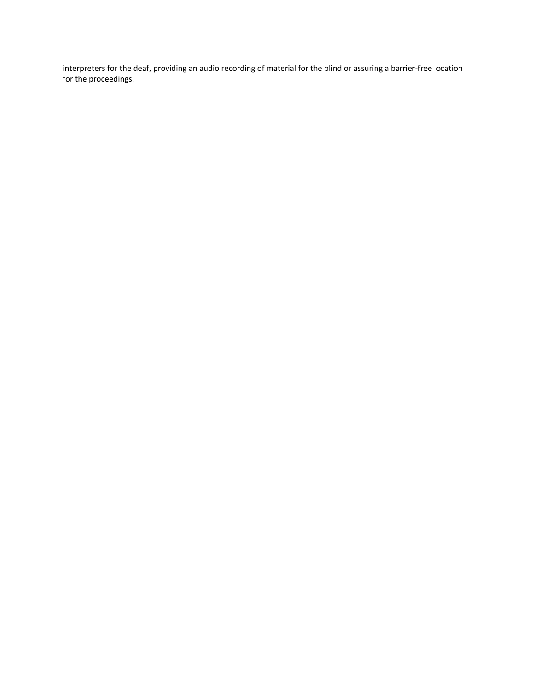interpreters for the deaf, providing an audio recording of material for the blind or assuring a barrier‐free location for the proceedings.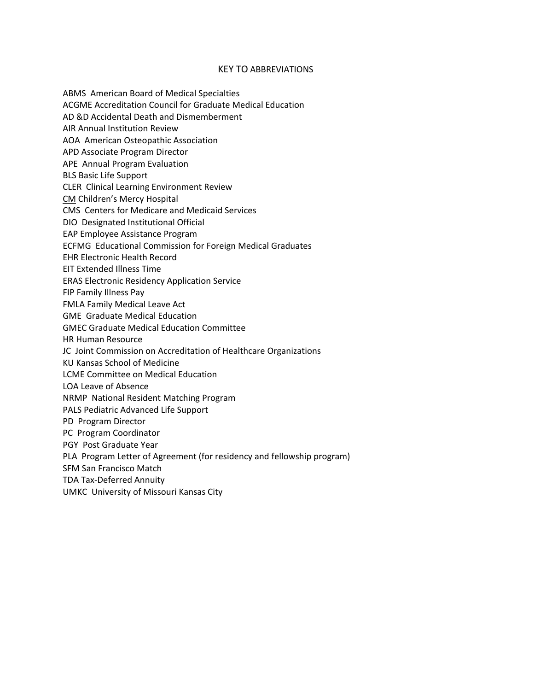#### KEY TO ABBREVIATIONS

ABMS American Board of Medical Specialties

ACGME Accreditation Council for Graduate Medical Education

AD &D Accidental Death and Dismemberment

AIR Annual Institution Review

AOA American Osteopathic Association

APD Associate Program Director

APE Annual Program Evaluation

BLS Basic Life Support

CLER Clinical Learning Environment Review

CM Children's Mercy Hospital

CMS Centers for Medicare and Medicaid Services

DIO Designated Institutional Official

EAP Employee Assistance Program

ECFMG Educational Commission for Foreign Medical Graduates

EHR Electronic Health Record

EIT Extended Illness Time

ERAS Electronic Residency Application Service

FIP Family Illness Pay

FMLA Family Medical Leave Act

GME Graduate Medical Education

GMEC Graduate Medical Education Committee

HR Human Resource

JC Joint Commission on Accreditation of Healthcare Organizations

KU Kansas School of Medicine

LCME Committee on Medical Education

LOA Leave of Absence

NRMP National Resident Matching Program

PALS Pediatric Advanced Life Support

PD Program Director

PC Program Coordinator

PGY Post Graduate Year

PLA Program Letter of Agreement (for residency and fellowship program)

SFM San Francisco Match

TDA Tax‐Deferred Annuity

UMKC University of Missouri Kansas City